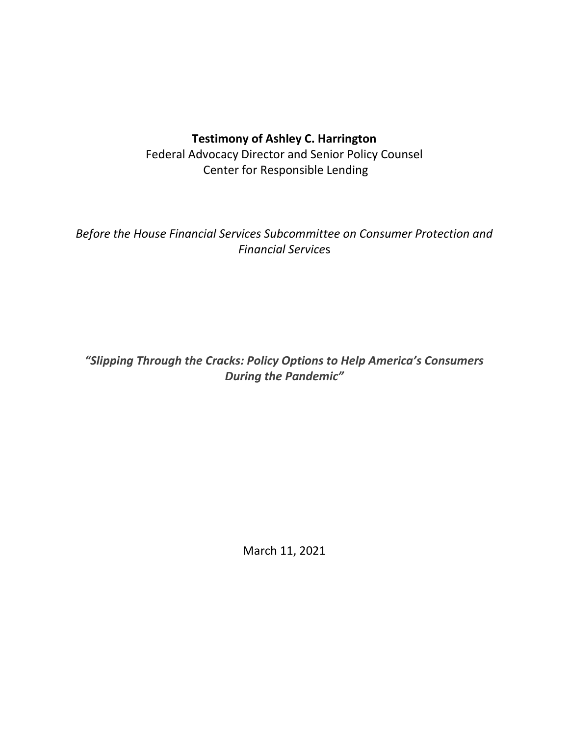# **Testimony of Ashley C. Harrington**

Federal Advocacy Director and Senior Policy Counsel Center for Responsible Lending

*Before the House Financial Services Subcommittee on Consumer Protection and Financial Service*s

*"Slipping Through the Cracks: Policy Options to Help America's Consumers During the Pandemic"*

March 11, 2021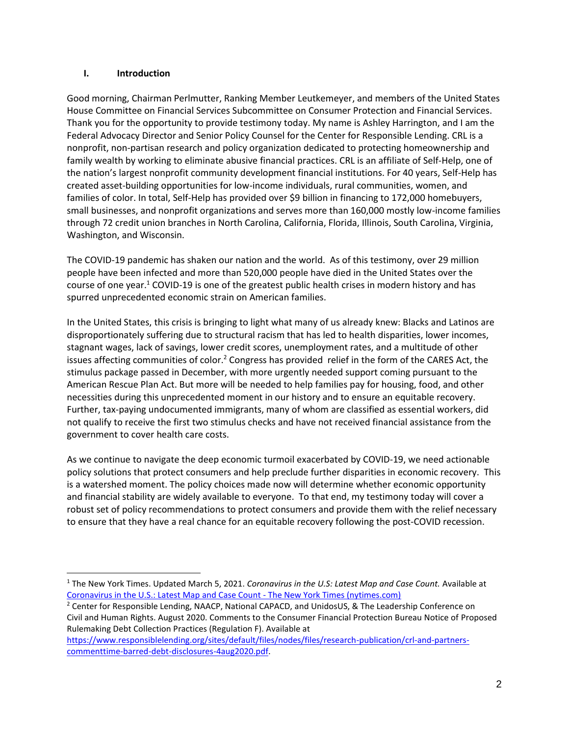#### **I. Introduction**

Good morning, Chairman Perlmutter, Ranking Member Leutkemeyer, and members of the United States House Committee on Financial Services Subcommittee on Consumer Protection and Financial Services. Thank you for the opportunity to provide testimony today. My name is Ashley Harrington, and I am the Federal Advocacy Director and Senior Policy Counsel for the Center for Responsible Lending. CRL is a nonprofit, non-partisan research and policy organization dedicated to protecting homeownership and family wealth by working to eliminate abusive financial practices. CRL is an affiliate of Self-Help, one of the nation's largest nonprofit community development financial institutions. For 40 years, Self-Help has created asset-building opportunities for low-income individuals, rural communities, women, and families of color. In total, Self-Help has provided over \$9 billion in financing to 172,000 homebuyers, small businesses, and nonprofit organizations and serves more than 160,000 mostly low-income families through 72 credit union branches in North Carolina, California, Florida, Illinois, South Carolina, Virginia, Washington, and Wisconsin.

The COVID-19 pandemic has shaken our nation and the world. As of this testimony, over 29 million people have been infected and more than 520,000 people have died in the United States over the course of one year.<sup>1</sup> COVID-19 is one of the greatest public health crises in modern history and has spurred unprecedented economic strain on American families.

In the United States, this crisis is bringing to light what many of us already knew: Blacks and Latinos are disproportionately suffering due to structural racism that has led to health disparities, lower incomes, stagnant wages, lack of savings, lower credit scores, unemployment rates, and a multitude of other issues affecting communities of color.<sup>2</sup> Congress has provided relief in the form of the CARES Act, the stimulus package passed in December, with more urgently needed support coming pursuant to the American Rescue Plan Act. But more will be needed to help families pay for housing, food, and other necessities during this unprecedented moment in our history and to ensure an equitable recovery. Further, tax-paying undocumented immigrants, many of whom are classified as essential workers, did not qualify to receive the first two stimulus checks and have not received financial assistance from the government to cover health care costs.

As we continue to navigate the deep economic turmoil exacerbated by COVID-19, we need actionable policy solutions that protect consumers and help preclude further disparities in economic recovery. This is a watershed moment. The policy choices made now will determine whether economic opportunity and financial stability are widely available to everyone. To that end, my testimony today will cover a robust set of policy recommendations to protect consumers and provide them with the relief necessary to ensure that they have a real chance for an equitable recovery following the post-COVID recession.

<sup>2</sup> Center for Responsible Lending, NAACP, National CAPACD, and UnidosUS, & The Leadership Conference on Civil and Human Rights. August 2020. Comments to the Consumer Financial Protection Bureau Notice of Proposed Rulemaking Debt Collection Practices (Regulation F). Available at

<sup>1</sup> The New York Times. Updated March 5, 2021. *Coronavirus in the U.S: Latest Map and Case Count.* Available at [Coronavirus in the U.S.: Latest Map](https://www.nytimes.com/interactive/2020/us/coronavirus-us-cases.html) and Case Count - The New York Times (nytimes.com)

[https://www.responsiblelending.org/sites/default/files/nodes/files/research-publication/crl-and-partners](https://www.responsiblelending.org/sites/default/files/nodes/files/research-publication/crl-and-partners-commenttime-barred-debt-disclosures-4aug2020.pdf)[commenttime-barred-debt-disclosures-4aug2020.pdf.](https://www.responsiblelending.org/sites/default/files/nodes/files/research-publication/crl-and-partners-commenttime-barred-debt-disclosures-4aug2020.pdf)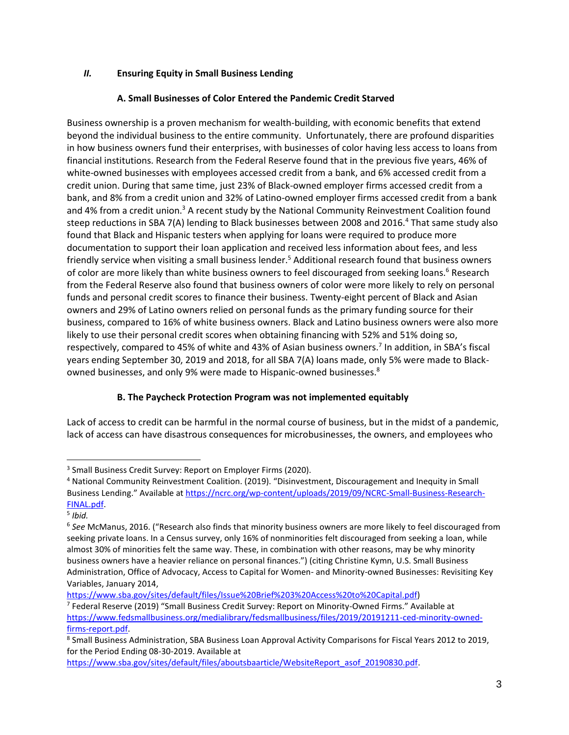## *II.* **Ensuring Equity in Small Business Lending**

### **A. Small Businesses of Color Entered the Pandemic Credit Starved**

Business ownership is a proven mechanism for wealth-building, with economic benefits that extend beyond the individual business to the entire community. Unfortunately, there are profound disparities in how business owners fund their enterprises, with businesses of color having less access to loans from financial institutions. Research from the Federal Reserve found that in the previous five years, 46% of white-owned businesses with employees accessed credit from a bank, and 6% accessed credit from a credit union. During that same time, just 23% of Black-owned employer firms accessed credit from a bank, and 8% from a credit union and 32% of Latino-owned employer firms accessed credit from a bank and 4% from a credit union.<sup>3</sup> A recent study by the National Community Reinvestment Coalition found steep reductions in SBA 7(A) lending to Black businesses between 2008 and 2016.<sup>4</sup> That same study also found that Black and Hispanic testers when applying for loans were required to produce more documentation to support their loan application and received less information about fees, and less friendly service when visiting a small business lender.<sup>5</sup> Additional research found that business owners of color are more likely than white business owners to feel discouraged from seeking loans.<sup>6</sup> Research from the Federal Reserve also found that business owners of color were more likely to rely on personal funds and personal credit scores to finance their business. Twenty-eight percent of Black and Asian owners and 29% of Latino owners relied on personal funds as the primary funding source for their business, compared to 16% of white business owners. Black and Latino business owners were also more likely to use their personal credit scores when obtaining financing with 52% and 51% doing so, respectively, compared to 45% of white and 43% of Asian business owners.<sup>7</sup> In addition, in SBA's fiscal years ending September 30, 2019 and 2018, for all SBA 7(A) loans made, only 5% were made to Blackowned businesses, and only 9% were made to Hispanic-owned businesses.<sup>8</sup>

### **B. The Paycheck Protection Program was not implemented equitably**

Lack of access to credit can be harmful in the normal course of business, but in the midst of a pandemic, lack of access can have disastrous consequences for microbusinesses, the owners, and employees who

<sup>&</sup>lt;sup>3</sup> Small Business Credit Survey: Report on Employer Firms (2020).

<sup>4</sup> National Community Reinvestment Coalition. (2019). "Disinvestment, Discouragement and Inequity in Small Business Lending." Available at [https://ncrc.org/wp-content/uploads/2019/09/NCRC-Small-Business-Research-](https://ncrc.org/wp-content/uploads/2019/09/NCRC-Small-Business-Research-FINAL.pdf)[FINAL.pdf.](https://ncrc.org/wp-content/uploads/2019/09/NCRC-Small-Business-Research-FINAL.pdf)

<sup>5</sup> *Ibid.*

<sup>6</sup> *See* McManus, 2016. ("Research also finds that minority business owners are more likely to feel discouraged from seeking private loans. In a Census survey, only 16% of nonminorities felt discouraged from seeking a loan, while almost 30% of minorities felt the same way. These, in combination with other reasons, may be why minority business owners have a heavier reliance on personal finances.") (citing Christine Kymn, U.S. Small Business Administration, Office of Advocacy, Access to Capital for Women- and Minority-owned Businesses: Revisiting Key Variables, January 2014,

[https://www.sba.gov/sites/default/files/Issue%20Brief%203%20Access%20to%20Capital.pdf\)](https://www.sba.gov/sites/default/files/Issue%20Brief%203%20Access%20to%20Capital.pdf)

<sup>7</sup> Federal Reserve (2019) "Small Business Credit Survey: Report on Minority-Owned Firms." Available at [https://www.fedsmallbusiness.org/medialibrary/fedsmallbusiness/files/2019/20191211-ced-minority-owned](https://www.fedsmallbusiness.org/medialibrary/fedsmallbusiness/files/2019/20191211-ced-minority-owned-firms-report.pdf)[firms-report.pdf.](https://www.fedsmallbusiness.org/medialibrary/fedsmallbusiness/files/2019/20191211-ced-minority-owned-firms-report.pdf)

<sup>8</sup> Small Business Administration, SBA Business Loan Approval Activity Comparisons for Fiscal Years 2012 to 2019, for the Period Ending 08-30-2019. Available at

[https://www.sba.gov/sites/default/files/aboutsbaarticle/WebsiteReport\\_asof\\_20190830.pdf.](https://www.sba.gov/sites/default/files/aboutsbaarticle/WebsiteReport_asof_20190830.pdf)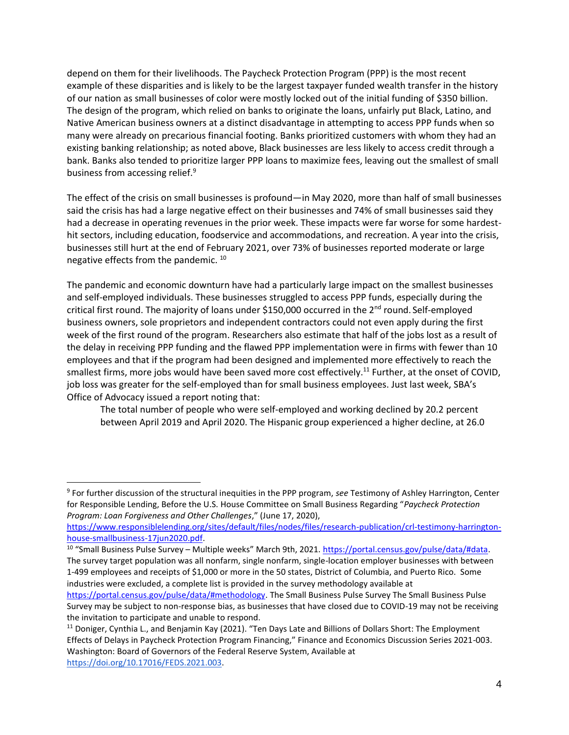depend on them for their livelihoods. The Paycheck Protection Program (PPP) is the most recent example of these disparities and is likely to be the largest taxpayer funded wealth transfer in the history of our nation as small businesses of color were mostly locked out of the initial funding of \$350 billion. The design of the program, which relied on banks to originate the loans, unfairly put Black, Latino, and Native American business owners at a distinct disadvantage in attempting to access PPP funds when so many were already on precarious financial footing. Banks prioritized customers with whom they had an existing banking relationship; as noted above, Black businesses are less likely to access credit through a bank. Banks also tended to prioritize larger PPP loans to maximize fees, leaving out the smallest of small business from accessing relief.<sup>9</sup>

The effect of the crisis on small businesses is profound—in May 2020, more than half of small businesses said the crisis has had a large negative effect on their businesses and 74% of small businesses said they had a decrease in operating revenues in the prior week. These impacts were far worse for some hardesthit sectors, including education, foodservice and accommodations, and recreation. A year into the crisis, businesses still hurt at the end of February 2021, over 73% of businesses reported moderate or large negative effects from the pandemic. <sup>10</sup>

The pandemic and economic downturn have had a particularly large impact on the smallest businesses and self-employed individuals. These businesses struggled to access PPP funds, especially during the critical first round. The majority of loans under \$150,000 occurred in the  $2<sup>nd</sup>$  round. Self-employed business owners, sole proprietors and independent contractors could not even apply during the first week of the first round of the program. Researchers also estimate that half of the jobs lost as a result of the delay in receiving PPP funding and the flawed PPP implementation were in firms with fewer than 10 employees and that if the program had been designed and implemented more effectively to reach the smallest firms, more jobs would have been saved more cost effectively.<sup>11</sup> Further, at the onset of COVID, job loss was greater for the self-employed than for small business employees. Just last week, SBA's Office of Advocacy issued a report noting that:

The total number of people who were self-employed and working declined by 20.2 percent between April 2019 and April 2020. The Hispanic group experienced a higher decline, at 26.0

<sup>10</sup> "Small Business Pulse Survey – Multiple weeks" March 9th, 2021. https://portal.census.gov/pulse/data/#data. The survey target population was all nonfarm, single nonfarm, single-location employer businesses with between 1-499 employees and receipts of \$1,000 or more in the 50 states, District of Columbia, and Puerto Rico. Some industries were excluded, a complete list is provided in the survey methodology available at

<sup>9</sup> For further discussion of the structural inequities in the PPP program, *see* Testimony of Ashley Harrington, Center for Responsible Lending, Before the U.S. House Committee on Small Business Regarding "*Paycheck Protection Program: Loan Forgiveness and Other Challenges*," (June 17, 2020),

[https://www.responsiblelending.org/sites/default/files/nodes/files/research-publication/crl-testimony-harrington](https://www.responsiblelending.org/sites/default/files/nodes/files/research-publication/crl-testimony-harrington-house-smallbusiness-17jun2020.pdf)[house-smallbusiness-17jun2020.pdf.](https://www.responsiblelending.org/sites/default/files/nodes/files/research-publication/crl-testimony-harrington-house-smallbusiness-17jun2020.pdf)

[https://portal.census.gov/pulse/data/#methodology.](https://portal.census.gov/pulse/data/#methodology) The Small Business Pulse Survey The Small Business Pulse Survey may be subject to non-response bias, as businesses that have closed due to COVID-19 may not be receiving the invitation to participate and unable to respond.

 $11$  Doniger, Cynthia L., and Benjamin Kay (2021). "Ten Days Late and Billions of Dollars Short: The Employment Effects of Delays in Paycheck Protection Program Financing," Finance and Economics Discussion Series 2021-003. Washington: Board of Governors of the Federal Reserve System, Available at [https://doi.org/10.17016/FEDS.2021.003.](https://doi.org/10.17016/FEDS.2021.003)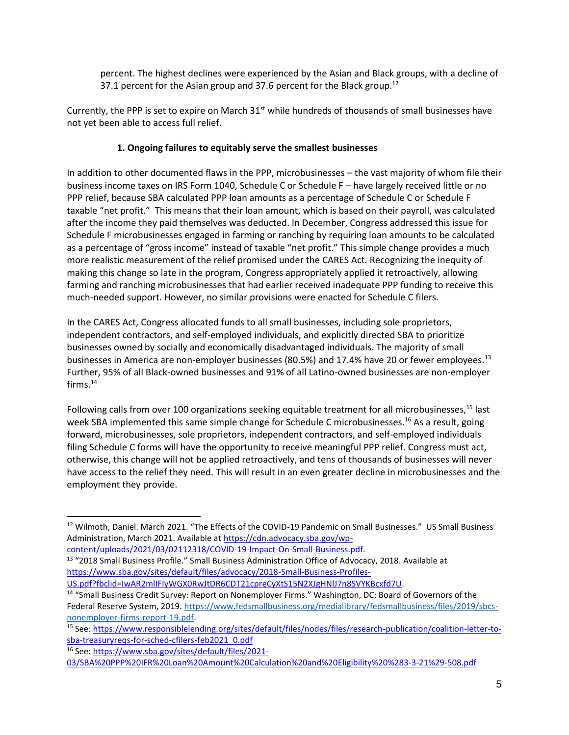percent. The highest declines were experienced by the Asian and Black groups, with a decline of 37.1 percent for the Asian group and 37.6 percent for the Black group.<sup>12</sup>

Currently, the PPP is set to expire on March 31<sup>st</sup> while hundreds of thousands of small businesses have not yet been able to access full relief.

### **1. Ongoing failures to equitably serve the smallest businesses**

In addition to other documented flaws in the PPP, microbusinesses – the vast majority of whom file their business income taxes on IRS Form 1040, Schedule C or Schedule F – have largely received little or no PPP relief, because SBA calculated PPP loan amounts as a percentage of Schedule C or Schedule F taxable "net profit." This means that their loan amount, which is based on their payroll, was calculated after the income they paid themselves was deducted. In December, Congress addressed this issue for Schedule F microbusinesses engaged in farming or ranching by requiring loan amounts to be calculated as a percentage of "gross income" instead of taxable "net profit." This simple change provides a much more realistic measurement of the relief promised under the CARES Act. Recognizing the inequity of making this change so late in the program, Congress appropriately applied it retroactively, allowing farming and ranching microbusinesses that had earlier received inadequate PPP funding to receive this much-needed support. However, no similar provisions were enacted for Schedule C filers.

In the CARES Act, Congress allocated funds to all small businesses, including sole proprietors, independent contractors, and self-employed individuals, and explicitly directed SBA to prioritize businesses owned by socially and economically disadvantaged individuals. The majority of small businesses in America are non-employer businesses (80.5%) and 17.4% have 20 or fewer employees.<sup>13</sup> Further, 95% of all Black-owned businesses and 91% of all Latino-owned businesses are non-employer  $f$ irms. $14$ 

Following calls from over 100 organizations seeking equitable treatment for all microbusinesses.<sup>15</sup> last week SBA implemented this same simple change for Schedule C microbusinesses.<sup>16</sup> As a result, going forward, microbusinesses, sole proprietors, independent contractors, and self-employed individuals filing Schedule C forms will have the opportunity to receive meaningful PPP relief. Congress must act, otherwise, this change will not be applied retroactively, and tens of thousands of businesses will never have access to the relief they need. This will result in an even greater decline in microbusinesses and the employment they provide.

<sup>&</sup>lt;sup>12</sup> Wilmoth, Daniel. March 2021. "The Effects of the COVID-19 Pandemic on Small Businesses." US Small Business Administration, March 2021. Available a[t https://cdn.advocacy.sba.gov/wp-](https://cdn.advocacy.sba.gov/wp-content/uploads/2021/03/02112318/COVID-19-Impact-On-Small-Business.pdf)

[content/uploads/2021/03/02112318/COVID-19-Impact-On-Small-Business.pdf.](https://cdn.advocacy.sba.gov/wp-content/uploads/2021/03/02112318/COVID-19-Impact-On-Small-Business.pdf)

<sup>&</sup>lt;sup>13</sup> "2018 Small Business Profile." Small Business Administration Office of Advocacy, 2018. Available at [https://www.sba.gov/sites/default/files/advocacy/2018-Small-Business-Profiles-](https://www.sba.gov/sites/default/files/advocacy/2018-Small-Business-Profiles-US.pdf?fbclid=IwAR2mlIFIyWGX0RwJtDR6CDT21cpreCyXtS15N2XJgHNlJ7n8SVYKBcxfd7U)

[US.pdf?fbclid=IwAR2mlIFIyWGX0RwJtDR6CDT21cpreCyXtS15N2XJgHNlJ7n8SVYKBcxfd7U.](https://www.sba.gov/sites/default/files/advocacy/2018-Small-Business-Profiles-US.pdf?fbclid=IwAR2mlIFIyWGX0RwJtDR6CDT21cpreCyXtS15N2XJgHNlJ7n8SVYKBcxfd7U)

<sup>14</sup> "Small Business Credit Survey: Report on Nonemployer Firms." Washington, DC: Board of Governors of the Federal Reserve System, 2019[. https://www.fedsmallbusiness.org/medialibrary/fedsmallbusiness/files/2019/sbcs](https://www.fedsmallbusiness.org/medialibrary/fedsmallbusiness/files/2019/sbcs-nonemployer-firms-report-19.pdf)[nonemployer-firms-report-19.pdf.](https://www.fedsmallbusiness.org/medialibrary/fedsmallbusiness/files/2019/sbcs-nonemployer-firms-report-19.pdf)

<sup>15</sup> See: [https://www.responsiblelending.org/sites/default/files/nodes/files/research-publication/coalition-letter-to](https://www.responsiblelending.org/sites/default/files/nodes/files/research-publication/coalition-letter-to-sba-treasuryreqs-for-sched-cfilers-feb2021_0.pdf)[sba-treasuryreqs-for-sched-cfilers-feb2021\\_0.pdf](https://www.responsiblelending.org/sites/default/files/nodes/files/research-publication/coalition-letter-to-sba-treasuryreqs-for-sched-cfilers-feb2021_0.pdf)

<sup>16</sup> See: [https://www.sba.gov/sites/default/files/2021-](https://www.sba.gov/sites/default/files/2021-03/SBA%20PPP%20IFR%20Loan%20Amount%20Calculation%20and%20Eligibility%20%283-3-21%29-508.pdf)

[<sup>03/</sup>SBA%20PPP%20IFR%20Loan%20Amount%20Calculation%20and%20Eligibility%20%283-3-21%29-508.pdf](https://www.sba.gov/sites/default/files/2021-03/SBA%20PPP%20IFR%20Loan%20Amount%20Calculation%20and%20Eligibility%20%283-3-21%29-508.pdf)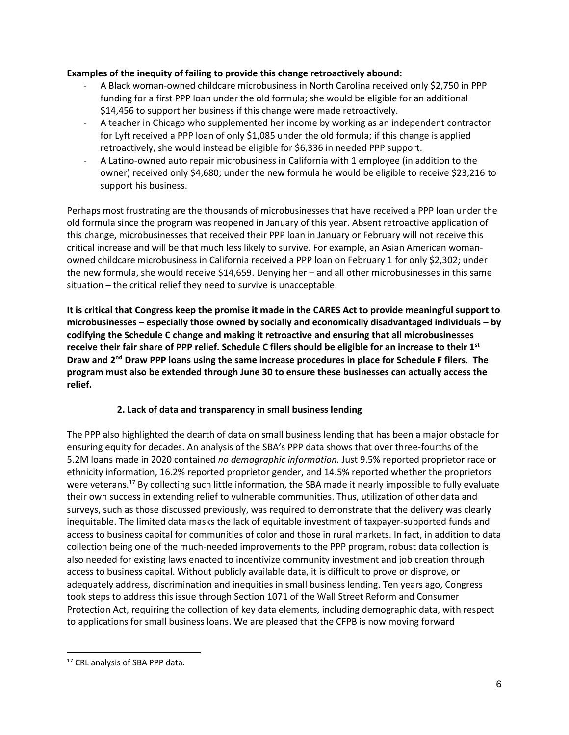#### **Examples of the inequity of failing to provide this change retroactively abound:**

- A Black woman-owned childcare microbusiness in North Carolina received only \$2,750 in PPP funding for a first PPP loan under the old formula; she would be eligible for an additional \$14,456 to support her business if this change were made retroactively.
- A teacher in Chicago who supplemented her income by working as an independent contractor for Lyft received a PPP loan of only \$1,085 under the old formula; if this change is applied retroactively, she would instead be eligible for \$6,336 in needed PPP support.
- A Latino-owned auto repair microbusiness in California with 1 employee (in addition to the owner) received only \$4,680; under the new formula he would be eligible to receive \$23,216 to support his business.

Perhaps most frustrating are the thousands of microbusinesses that have received a PPP loan under the old formula since the program was reopened in January of this year. Absent retroactive application of this change, microbusinesses that received their PPP loan in January or February will not receive this critical increase and will be that much less likely to survive. For example, an Asian American womanowned childcare microbusiness in California received a PPP loan on February 1 for only \$2,302; under the new formula, she would receive \$14,659. Denying her – and all other microbusinesses in this same situation – the critical relief they need to survive is unacceptable.

**It is critical that Congress keep the promise it made in the CARES Act to provide meaningful support to microbusinesses – especially those owned by socially and economically disadvantaged individuals – by codifying the Schedule C change and making it retroactive and ensuring that all microbusinesses receive their fair share of PPP relief. Schedule C filers should be eligible for an increase to their 1st Draw and 2nd Draw PPP loans using the same increase procedures in place for Schedule F filers. The program must also be extended through June 30 to ensure these businesses can actually access the relief.**

### **2. Lack of data and transparency in small business lending**

The PPP also highlighted the dearth of data on small business lending that has been a major obstacle for ensuring equity for decades. An analysis of the SBA's PPP data shows that over three-fourths of the 5.2M loans made in 2020 contained *no demographic information.* Just 9.5% reported proprietor race or ethnicity information, 16.2% reported proprietor gender, and 14.5% reported whether the proprietors were veterans.<sup>17</sup> By collecting such little information, the SBA made it nearly impossible to fully evaluate their own success in extending relief to vulnerable communities. Thus, utilization of other data and surveys, such as those discussed previously, was required to demonstrate that the delivery was clearly inequitable. The limited data masks the lack of equitable investment of taxpayer-supported funds and access to business capital for communities of color and those in rural markets. In fact, in addition to data collection being one of the much-needed improvements to the PPP program, robust data collection is also needed for existing laws enacted to incentivize community investment and job creation through access to business capital. Without publicly available data, it is difficult to prove or disprove, or adequately address, discrimination and inequities in small business lending. Ten years ago, Congress took steps to address this issue through Section 1071 of the Wall Street Reform and Consumer Protection Act, requiring the collection of key data elements, including demographic data, with respect to applications for small business loans. We are pleased that the CFPB is now moving forward

<sup>&</sup>lt;sup>17</sup> CRL analysis of SBA PPP data.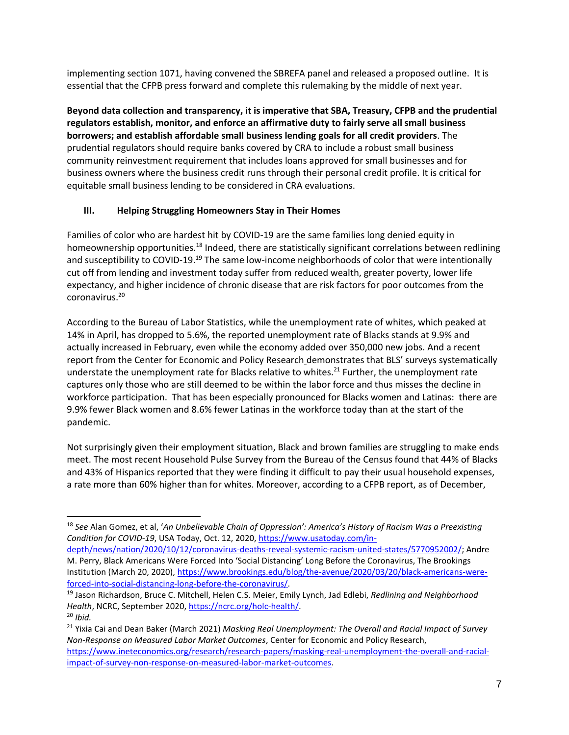implementing section 1071, having convened the SBREFA panel and released a proposed outline. It is essential that the CFPB press forward and complete this rulemaking by the middle of next year.

**Beyond data collection and transparency, it is imperative that SBA, Treasury, CFPB and the prudential regulators establish, monitor, and enforce an affirmative duty to fairly serve all small business borrowers; and establish affordable small business lending goals for all credit providers**. The prudential regulators should require banks covered by CRA to include a robust small business community reinvestment requirement that includes loans approved for small businesses and for business owners where the business credit runs through their personal credit profile. It is critical for equitable small business lending to be considered in CRA evaluations.

## **III. Helping Struggling Homeowners Stay in Their Homes**

Families of color who are hardest hit by COVID-19 are the same families long denied equity in homeownership opportunities.<sup>18</sup> Indeed, there are statistically significant correlations between redlining and susceptibility to COVID-19.<sup>19</sup> The same low-income neighborhoods of color that were intentionally cut off from lending and investment today suffer from reduced wealth, greater poverty, lower life expectancy, and higher incidence of chronic disease that are risk factors for poor outcomes from the coronavirus.<sup>20</sup>

According to the Bureau of Labor Statistics, while the unemployment rate of whites, which peaked at 14% in April, has dropped to 5.6%, the reported unemployment rate of Blacks stands at 9.9% and actually increased in February, even while the economy added over 350,000 new jobs. And a recent report from the Center for Economic and Policy Research demonstrates that BLS' surveys systematically understate the unemployment rate for Blacks relative to whites.<sup>21</sup> Further, the unemployment rate captures only those who are still deemed to be within the labor force and thus misses the decline in workforce participation. That has been especially pronounced for Blacks women and Latinas: there are 9.9% fewer Black women and 8.6% fewer Latinas in the workforce today than at the start of the pandemic.

Not surprisingly given their employment situation, Black and brown families are struggling to make ends meet. The most recent Household Pulse Survey from the Bureau of the Census found that 44% of Blacks and 43% of Hispanics reported that they were finding it difficult to pay their usual household expenses, a rate more than 60% higher than for whites. Moreover, according to a CFPB report, as of December,

<sup>18</sup> *See* Alan Gomez, et al, '*An Unbelievable Chain of Oppression': America's History of Racism Was a Preexisting Condition for COVID-19*, USA Today, Oct. 12, 2020[, https://www.usatoday.com/in-](https://www.usatoday.com/in-depth/news/nation/2020/10/12/coronavirus-deaths-reveal-systemic-racism-united-states/5770952002/)

[depth/news/nation/2020/10/12/coronavirus-deaths-reveal-systemic-racism-united-states/5770952002/;](https://www.usatoday.com/in-depth/news/nation/2020/10/12/coronavirus-deaths-reveal-systemic-racism-united-states/5770952002/) Andre M. Perry, Black Americans Were Forced Into 'Social Distancing' Long Before the Coronavirus, The Brookings Institution (March 20, 2020), [https://www.brookings.edu/blog/the-avenue/2020/03/20/black-americans-were](https://www.brookings.edu/blog/the-avenue/2020/03/20/black-americans-were-forced-into-social-distancing-long-before-the-coronavirus/)[forced-into-social-distancing-long-before-the-coronavirus/.](https://www.brookings.edu/blog/the-avenue/2020/03/20/black-americans-were-forced-into-social-distancing-long-before-the-coronavirus/)

<sup>19</sup> Jason Richardson, Bruce C. Mitchell, Helen C.S. Meier, Emily Lynch, Jad Edlebi, *Redlining and Neighborhood Health*, NCRC, September 2020, [https://ncrc.org/holc-health/.](https://ncrc.org/holc-health/)

<sup>20</sup> *Ibid.* <sup>21</sup> Yixia Cai and Dean Baker (March 2021) *Masking Real Unemployment: The Overall and Racial Impact of Survey Non-Response on Measured Labor Market Outcomes*, Center for Economic and Policy Research, [https://www.ineteconomics.org/research/research-papers/masking-real-unemployment-the-overall-and-racial-](https://www.ineteconomics.org/research/research-papers/masking-real-unemployment-the-overall-and-racial-impact-of-survey-non-response-on-measured-labor-market-outcomes)

[impact-of-survey-non-response-on-measured-labor-market-outcomes.](https://www.ineteconomics.org/research/research-papers/masking-real-unemployment-the-overall-and-racial-impact-of-survey-non-response-on-measured-labor-market-outcomes)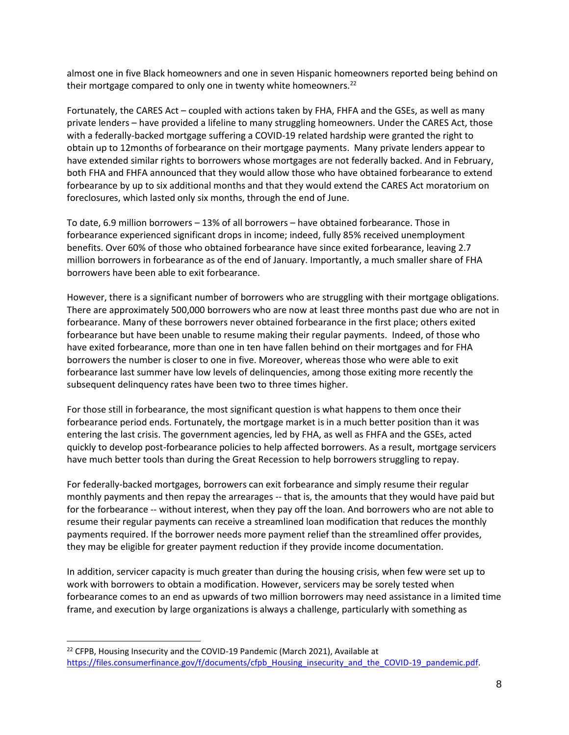almost one in five Black homeowners and one in seven Hispanic homeowners reported being behind on their mortgage compared to only one in twenty white homeowners.<sup>22</sup>

Fortunately, the CARES Act – coupled with actions taken by FHA, FHFA and the GSEs, as well as many private lenders – have provided a lifeline to many struggling homeowners. Under the CARES Act, those with a federally-backed mortgage suffering a COVID-19 related hardship were granted the right to obtain up to 12months of forbearance on their mortgage payments. Many private lenders appear to have extended similar rights to borrowers whose mortgages are not federally backed. And in February, both FHA and FHFA announced that they would allow those who have obtained forbearance to extend forbearance by up to six additional months and that they would extend the CARES Act moratorium on foreclosures, which lasted only six months, through the end of June.

To date, 6.9 million borrowers – 13% of all borrowers – have obtained forbearance. Those in forbearance experienced significant drops in income; indeed, fully 85% received unemployment benefits. Over 60% of those who obtained forbearance have since exited forbearance, leaving 2.7 million borrowers in forbearance as of the end of January. Importantly, a much smaller share of FHA borrowers have been able to exit forbearance.

However, there is a significant number of borrowers who are struggling with their mortgage obligations. There are approximately 500,000 borrowers who are now at least three months past due who are not in forbearance. Many of these borrowers never obtained forbearance in the first place; others exited forbearance but have been unable to resume making their regular payments. Indeed, of those who have exited forbearance, more than one in ten have fallen behind on their mortgages and for FHA borrowers the number is closer to one in five. Moreover, whereas those who were able to exit forbearance last summer have low levels of delinquencies, among those exiting more recently the subsequent delinquency rates have been two to three times higher.

For those still in forbearance, the most significant question is what happens to them once their forbearance period ends. Fortunately, the mortgage market is in a much better position than it was entering the last crisis. The government agencies, led by FHA, as well as FHFA and the GSEs, acted quickly to develop post-forbearance policies to help affected borrowers. As a result, mortgage servicers have much better tools than during the Great Recession to help borrowers struggling to repay.

For federally-backed mortgages, borrowers can exit forbearance and simply resume their regular monthly payments and then repay the arrearages -- that is, the amounts that they would have paid but for the forbearance -- without interest, when they pay off the loan. And borrowers who are not able to resume their regular payments can receive a streamlined loan modification that reduces the monthly payments required. If the borrower needs more payment relief than the streamlined offer provides, they may be eligible for greater payment reduction if they provide income documentation.

In addition, servicer capacity is much greater than during the housing crisis, when few were set up to work with borrowers to obtain a modification. However, servicers may be sorely tested when forbearance comes to an end as upwards of two million borrowers may need assistance in a limited time frame, and execution by large organizations is always a challenge, particularly with something as

 $22$  CFPB, Housing Insecurity and the COVID-19 Pandemic (March 2021), Available at [https://files.consumerfinance.gov/f/documents/cfpb\\_Housing\\_insecurity\\_and\\_the\\_COVID-19\\_pandemic.pdf.](https://files.consumerfinance.gov/f/documents/cfpb_Housing_insecurity_and_the_COVID-19_pandemic.pdf)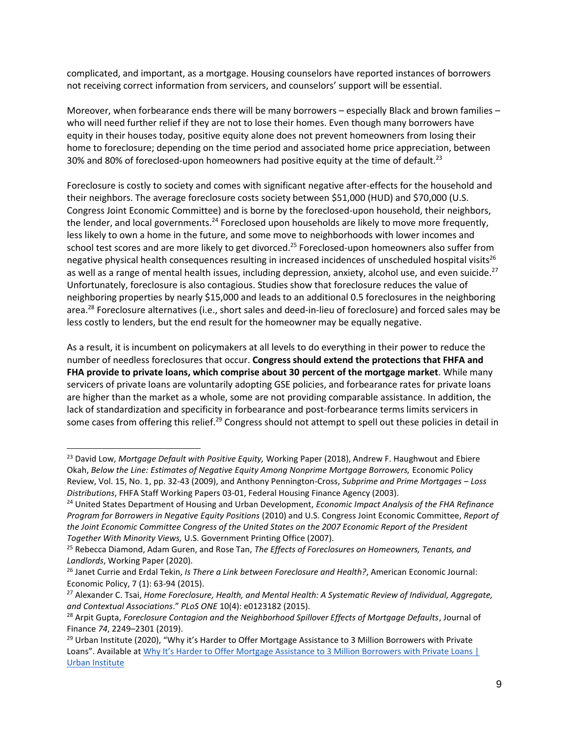complicated, and important, as a mortgage. Housing counselors have reported instances of borrowers not receiving correct information from servicers, and counselors' support will be essential.

Moreover, when forbearance ends there will be many borrowers – especially Black and brown families – who will need further relief if they are not to lose their homes. Even though many borrowers have equity in their houses today, positive equity alone does not prevent homeowners from losing their home to foreclosure; depending on the time period and associated home price appreciation, between 30% and 80% of foreclosed-upon homeowners had positive equity at the time of default.<sup>23</sup>

Foreclosure is costly to society and comes with significant negative after-effects for the household and their neighbors. The average foreclosure costs society between \$51,000 (HUD) and \$70,000 (U.S. Congress Joint Economic Committee) and is borne by the foreclosed-upon household, their neighbors, the lender, and local governments.<sup>24</sup> Foreclosed upon households are likely to move more frequently, less likely to own a home in the future, and some move to neighborhoods with lower incomes and school test scores and are more likely to get divorced.<sup>25</sup> Foreclosed-upon homeowners also suffer from negative physical health consequences resulting in increased incidences of unscheduled hospital visits<sup>26</sup> as well as a range of mental health issues, including depression, anxiety, alcohol use, and even suicide.<sup>27</sup> Unfortunately, foreclosure is also contagious. Studies show that foreclosure reduces the value of neighboring properties by nearly \$15,000 and leads to an additional 0.5 foreclosures in the neighboring area.<sup>28</sup> Foreclosure alternatives (i.e., short sales and deed-in-lieu of foreclosure) and forced sales may be less costly to lenders, but the end result for the homeowner may be equally negative.

As a result, it is incumbent on policymakers at all levels to do everything in their power to reduce the number of needless foreclosures that occur. **Congress should extend the protections that FHFA and FHA provide to private loans, which comprise about 30 percent of the mortgage market**. While many servicers of private loans are voluntarily adopting GSE policies, and forbearance rates for private loans are higher than the market as a whole, some are not providing comparable assistance. In addition, the lack of standardization and specificity in forbearance and post-forbearance terms limits servicers in some cases from offering this relief.<sup>29</sup> Congress should not attempt to spell out these policies in detail in

<sup>23</sup> David Low, *Mortgage Default with Positive Equity,* Working Paper (2018), Andrew F. Haughwout and Ebiere Okah, *Below the Line: Estimates of Negative Equity Among Nonprime Mortgage Borrowers,* Economic Policy Review, Vol. 15, No. 1, pp. 32-43 (2009), and Anthony Pennington-Cross, *Subprime and Prime Mortgages – Loss Distributions*, [FHFA Staff Working Papers](https://ideas.repec.org/s/hfa/wpaper.html) 03-01, Federal Housing Finance Agency (2003).

<sup>24</sup> United States Department of Housing and Urban Development, *Economic Impact Analysis of the FHA Refinance Program for Borrowers in Negative Equity Positions* (2010) and U.S. Congress Joint Economic Committee, *Report of the Joint Economic Committee Congress of the United States on the 2007 Economic Report of the President Together With Minority Views,* U.S. Government Printing Office (2007).

<sup>25</sup> Rebecca Diamond, Adam Guren, and Rose Tan, *The Effects of Foreclosures on Homeowners, Tenants, and Landlords*, Working Paper (2020).

<sup>26</sup> Janet Currie and Erdal Tekin, *Is There a Link between Foreclosure and Health?*, American Economic Journal: Economic Policy, 7 (1): 63-94 (2015).

<sup>27</sup> Alexander C. Tsai, *Home Foreclosure, Health, and Mental Health: A Systematic Review of Individual, Aggregate, and Contextual Associations*." *PLoS ONE* 10(4): e0123182 (2015).

<sup>&</sup>lt;sup>28</sup> Arpit Gupta, *Foreclosure Contagion and the Neighborhood Spillover Effects of Mortgage Defaults*, Journal of Finance *74*, 2249–2301 (2019).

<sup>&</sup>lt;sup>29</sup> Urban Institute (2020), "Why it's Harder to Offer Mortgage Assistance to 3 Million Borrowers with Private Loans". Available at Why It's Harder to Offer Mortgage Assistance to 3 Million Borrowers with Private Loans | [Urban Institute](https://www.urban.org/urban-wire/why-its-harder-offer-mortgage-assistance-3-million-borrowers-private-loans)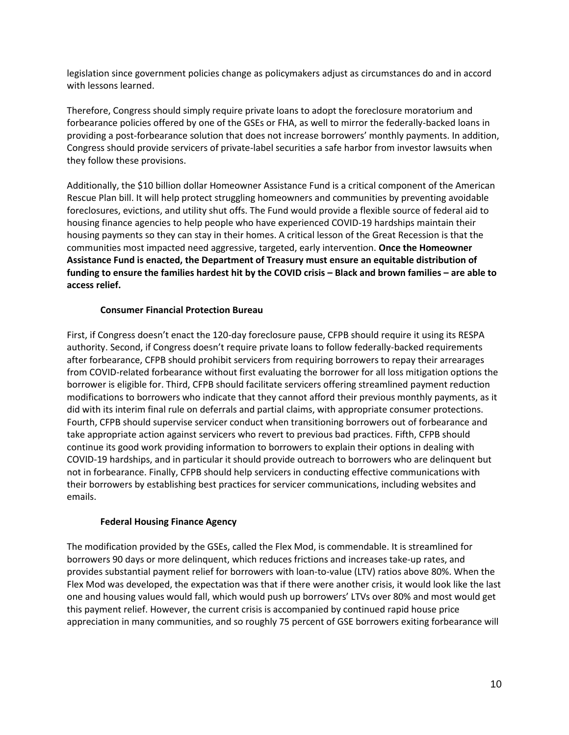legislation since government policies change as policymakers adjust as circumstances do and in accord with lessons learned.

Therefore, Congress should simply require private loans to adopt the foreclosure moratorium and forbearance policies offered by one of the GSEs or FHA, as well to mirror the federally-backed loans in providing a post-forbearance solution that does not increase borrowers' monthly payments. In addition, Congress should provide servicers of private-label securities a safe harbor from investor lawsuits when they follow these provisions.

Additionally, the \$10 billion dollar Homeowner Assistance Fund is a critical component of the American Rescue Plan bill. It will help protect struggling homeowners and communities by preventing avoidable foreclosures, evictions, and utility shut offs. The Fund would provide a flexible source of federal aid to housing finance agencies to help people who have experienced COVID-19 hardships maintain their housing payments so they can stay in their homes. A critical lesson of the Great Recession is that the communities most impacted need aggressive, targeted, early intervention. **Once the Homeowner Assistance Fund is enacted, the Department of Treasury must ensure an equitable distribution of funding to ensure the families hardest hit by the COVID crisis – Black and brown families – are able to access relief.**

#### **Consumer Financial Protection Bureau**

First, if Congress doesn't enact the 120-day foreclosure pause, CFPB should require it using its RESPA authority. Second, if Congress doesn't require private loans to follow federally-backed requirements after forbearance, CFPB should prohibit servicers from requiring borrowers to repay their arrearages from COVID-related forbearance without first evaluating the borrower for all loss mitigation options the borrower is eligible for. Third, CFPB should facilitate servicers offering streamlined payment reduction modifications to borrowers who indicate that they cannot afford their previous monthly payments, as it did with its interim final rule on deferrals and partial claims, with appropriate consumer protections. Fourth, CFPB should supervise servicer conduct when transitioning borrowers out of forbearance and take appropriate action against servicers who revert to previous bad practices. Fifth, CFPB should continue its good work providing information to borrowers to explain their options in dealing with COVID-19 hardships, and in particular it should provide outreach to borrowers who are delinquent but not in forbearance. Finally, CFPB should help servicers in conducting effective communications with their borrowers by establishing best practices for servicer communications, including websites and emails.

#### **Federal Housing Finance Agency**

The modification provided by the GSEs, called the Flex Mod, is commendable. It is streamlined for borrowers 90 days or more delinquent, which reduces frictions and increases take-up rates, and provides substantial payment relief for borrowers with loan-to-value (LTV) ratios above 80%. When the Flex Mod was developed, the expectation was that if there were another crisis, it would look like the last one and housing values would fall, which would push up borrowers' LTVs over 80% and most would get this payment relief. However, the current crisis is accompanied by continued rapid house price appreciation in many communities, and so roughly 75 percent of GSE borrowers exiting forbearance will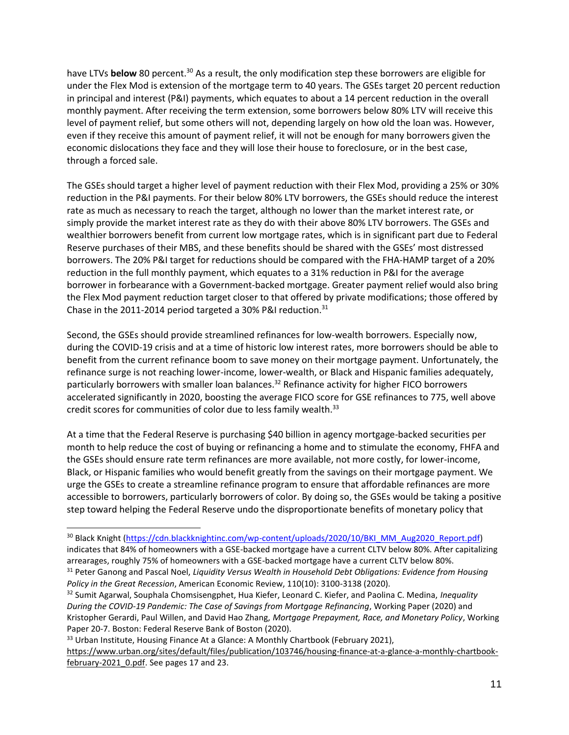have LTVs **below** 80 percent.<sup>30</sup> As a result, the only modification step these borrowers are eligible for under the Flex Mod is extension of the mortgage term to 40 years. The GSEs target 20 percent reduction in principal and interest (P&I) payments, which equates to about a 14 percent reduction in the overall monthly payment. After receiving the term extension, some borrowers below 80% LTV will receive this level of payment relief, but some others will not, depending largely on how old the loan was. However, even if they receive this amount of payment relief, it will not be enough for many borrowers given the economic dislocations they face and they will lose their house to foreclosure, or in the best case, through a forced sale.

The GSEs should target a higher level of payment reduction with their Flex Mod, providing a 25% or 30% reduction in the P&I payments. For their below 80% LTV borrowers, the GSEs should reduce the interest rate as much as necessary to reach the target, although no lower than the market interest rate, or simply provide the market interest rate as they do with their above 80% LTV borrowers. The GSEs and wealthier borrowers benefit from current low mortgage rates, which is in significant part due to Federal Reserve purchases of their MBS, and these benefits should be shared with the GSEs' most distressed borrowers. The 20% P&I target for reductions should be compared with the FHA-HAMP target of a 20% reduction in the full monthly payment, which equates to a 31% reduction in P&I for the average borrower in forbearance with a Government-backed mortgage. Greater payment relief would also bring the Flex Mod payment reduction target closer to that offered by private modifications; those offered by Chase in the 2011-2014 period targeted a 30% P&I reduction.<sup>31</sup>

Second, the GSEs should provide streamlined refinances for low-wealth borrowers. Especially now, during the COVID-19 crisis and at a time of historic low interest rates, more borrowers should be able to benefit from the current refinance boom to save money on their mortgage payment. Unfortunately, the refinance surge is not reaching lower-income, lower-wealth, or Black and Hispanic families adequately, particularly borrowers with smaller loan balances.<sup>32</sup> Refinance activity for higher FICO borrowers accelerated significantly in 2020, boosting the average FICO score for GSE refinances to 775, well above credit scores for communities of color due to less family wealth.<sup>33</sup>

At a time that the Federal Reserve is purchasing \$40 billion in agency mortgage-backed securities per month to help reduce the cost of buying or refinancing a home and to stimulate the economy, FHFA and the GSEs should ensure rate term refinances are more available, not more costly, for lower-income, Black, or Hispanic families who would benefit greatly from the savings on their mortgage payment. We urge the GSEs to create a streamline refinance program to ensure that affordable refinances are more accessible to borrowers, particularly borrowers of color. By doing so, the GSEs would be taking a positive step toward helping the Federal Reserve undo the disproportionate benefits of monetary policy that

<sup>33</sup> Urban Institute[,](https://www.urban.org/sites/default/files/publication/103746/housing-finance-at-a-glance-a-monthly-chartbook-february-2021_0.pdf) Housing Finance At a Glance: A Monthly Chartbook (February 2021),

<sup>&</sup>lt;sup>30</sup> Black Knight [\(https://cdn.blackknightinc.com/wp-content/uploads/2020/10/BKI\\_MM\\_Aug2020\\_Report.pdf\)](https://cdn.blackknightinc.com/wp-content/uploads/2020/10/BKI_MM_Aug2020_Report.pdf) indicates that 84% of homeowners with a GSE-backed mortgage have a current CLTV below 80%. After capitalizing arrearages, roughly 75% of homeowners with a GSE-backed mortgage have a current CLTV below 80%. <sup>31</sup> Peter Ganong and Pascal Noel, *Liquidity Versus Wealth in Household Debt Obligations: Evidence from Housing* 

*Policy in the Great Recession*, American Economic Review, 110(10): 3100-3138 (2020).

<sup>32</sup> Sumit Agarwal, Souphala Chomsisengphet, Hua Kiefer, Leonard C. Kiefer, and Paolina C. Medina, *Inequality During the COVID-19 Pandemic: The Case of Savings from Mortgage Refinancing*, Working Paper (2020) and Kristopher Gerardi, Paul Willen, and David Hao Zhang, *Mortgage Prepayment, Race, and Monetary Policy*, Working Paper 20-7. Boston: Federal Reserve Bank of Boston (2020).

[https://www.urban.org/sites/default/files/publication/103746/housing-finance-at-a-glance-a-monthly-chartbook](https://www.urban.org/sites/default/files/publication/103746/housing-finance-at-a-glance-a-monthly-chartbook-february-2021_0.pdf)february-2021 0.pdf. See pages 17 and 23.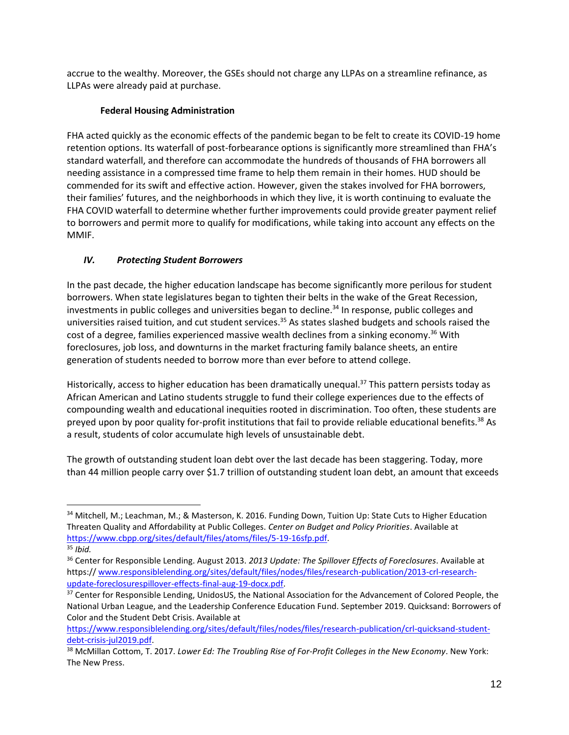accrue to the wealthy. Moreover, the GSEs should not charge any LLPAs on a streamline refinance, as LLPAs were already paid at purchase.

## **Federal Housing Administration**

FHA acted quickly as the economic effects of the pandemic began to be felt to create its COVID-19 home retention options. Its waterfall of post-forbearance options is significantly more streamlined than FHA's standard waterfall, and therefore can accommodate the hundreds of thousands of FHA borrowers all needing assistance in a compressed time frame to help them remain in their homes. HUD should be commended for its swift and effective action. However, given the stakes involved for FHA borrowers, their families' futures, and the neighborhoods in which they live, it is worth continuing to evaluate the FHA COVID waterfall to determine whether further improvements could provide greater payment relief to borrowers and permit more to qualify for modifications, while taking into account any effects on the MMIF.

# *IV. Protecting Student Borrowers*

In the past decade, the higher education landscape has become significantly more perilous for student borrowers. When state legislatures began to tighten their belts in the wake of the Great Recession, investments in public colleges and universities began to decline.<sup>34</sup> In response, public colleges and universities raised tuition, and cut student services.<sup>35</sup> As states slashed budgets and schools raised the cost of a degree, families experienced massive wealth declines from a sinking economy.<sup>36</sup> With foreclosures, job loss, and downturns in the market fracturing family balance sheets, an entire generation of students needed to borrow more than ever before to attend college.

Historically, access to higher education has been dramatically unequal.<sup>37</sup> This pattern persists today as African American and Latino students struggle to fund their college experiences due to the effects of compounding wealth and educational inequities rooted in discrimination. Too often, these students are preyed upon by poor quality for-profit institutions that fail to provide reliable educational benefits.<sup>38</sup> As a result, students of color accumulate high levels of unsustainable debt.

The growth of outstanding student loan debt over the last decade has been staggering. Today, more than 44 million people carry over \$1.7 trillion of outstanding student loan debt, an amount that exceeds

<sup>34</sup> Mitchell, M.; Leachman, M.; & Masterson, K. 2016. Funding Down, Tuition Up: State Cuts to Higher Education Threaten Quality and Affordability at Public Colleges. *Center on Budget and Policy Priorities*. Available at [https://www.cbpp.org/sites/default/files/atoms/files/5-19-16sfp.pdf.](https://www.cbpp.org/sites/default/files/atoms/files/5-19-16sfp.pdf)

<sup>35</sup> *Ibid.*

<sup>36</sup> Center for Responsible Lending. August 2013. *2013 Update: The Spillover Effects of Foreclosures*. Available at https:// [www.responsiblelending.org/sites/default/files/nodes/files/research-publication/2013-crl-research](http://www.responsiblelending.org/sites/default/files/nodes/files/research-publication/2013-crl-research-update-foreclosurespillover-effects-final-aug-19-docx.pdf)[update-foreclosurespillover-effects-final-aug-19-docx.pdf.](http://www.responsiblelending.org/sites/default/files/nodes/files/research-publication/2013-crl-research-update-foreclosurespillover-effects-final-aug-19-docx.pdf)

<sup>&</sup>lt;sup>37</sup> Center for Responsible Lending, UnidosUS, the National Association for the Advancement of Colored People, the National Urban League, and the Leadership Conference Education Fund. September 2019. Quicksand: Borrowers of Color and the Student Debt Crisis. Available at

[https://www.responsiblelending.org/sites/default/files/nodes/files/research-publication/crl-quicksand-student](https://www.responsiblelending.org/sites/default/files/nodes/files/research-publication/crl-quicksand-student-debt-crisis-jul2019.pdf)[debt-crisis-jul2019.pdf.](https://www.responsiblelending.org/sites/default/files/nodes/files/research-publication/crl-quicksand-student-debt-crisis-jul2019.pdf)

<sup>38</sup> McMillan Cottom, T. 2017. *Lower Ed: The Troubling Rise of For-Profit Colleges in the New Economy*. New York: The New Press.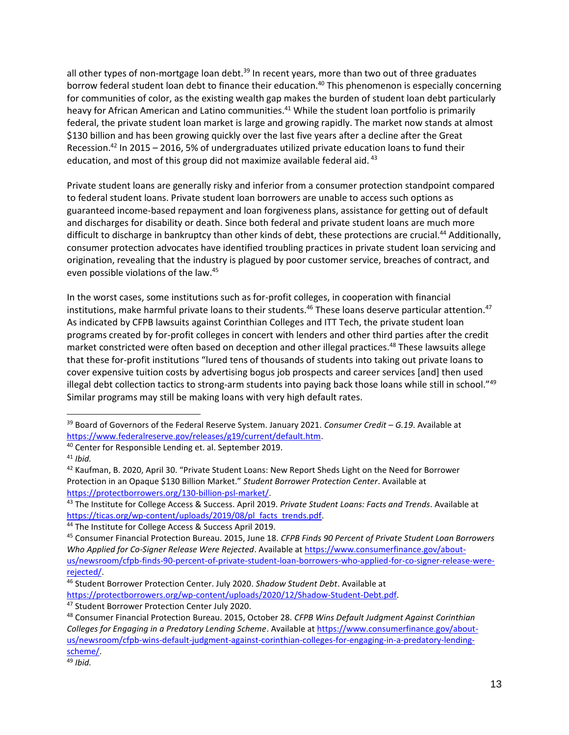all other types of non-mortgage loan debt. $39$  In recent years, more than two out of three graduates borrow federal student loan debt to finance their education.<sup>40</sup> This phenomenon is especially concerning for communities of color, as the existing wealth gap makes the burden of student loan debt particularly heavy for African American and Latino communities.<sup>41</sup> While the student loan portfolio is primarily federal, the private student loan market is large and growing rapidly. The market now stands at almost \$130 billion and has been growing quickly over the last five years after a decline after the Great Recession.<sup>42</sup> In 2015 – 2016, 5% of undergraduates utilized private education loans to fund their education, and most of this group did not maximize available federal aid.<sup>43</sup>

Private student loans are generally risky and inferior from a consumer protection standpoint compared to federal student loans. Private student loan borrowers are unable to access such options as guaranteed income-based repayment and loan forgiveness plans, assistance for getting out of default and discharges for disability or death. Since both federal and private student loans are much more difficult to discharge in bankruptcy than other kinds of debt, these protections are crucial.<sup>44</sup> Additionally, consumer protection advocates have identified troubling practices in private student loan servicing and origination, revealing that the industry is plagued by poor customer service, breaches of contract, and even possible violations of the law.<sup>45</sup>

In the worst cases, some institutions such as for-profit colleges, in cooperation with financial institutions, make harmful private loans to their students.<sup>46</sup> These loans deserve particular attention.<sup>47</sup> As indicated by CFPB lawsuits against Corinthian Colleges and ITT Tech, the private student loan programs created by for-profit colleges in concert with lenders and other third parties after the credit market constricted were often based on deception and other illegal practices.<sup>48</sup> These lawsuits allege that these for-profit institutions "lured tens of thousands of students into taking out private loans to cover expensive tuition costs by advertising bogus job prospects and career services [and] then used illegal debt collection tactics to strong-arm students into paying back those loans while still in school."49 Similar programs may still be making loans with very high default rates.

<sup>39</sup> Board of Governors of the Federal Reserve System. January 2021. *Consumer Credit – G.19*. Available at [https://www.federalreserve.gov/releases/g19/current/default.htm.](https://www.federalreserve.gov/releases/g19/current/default.htm)

<sup>40</sup> Center for Responsible Lending et. al. September 2019.

<sup>41</sup> *Ibid.*

<sup>42</sup> Kaufman, B. 2020, April 30. "Private Student Loans: New Report Sheds Light on the Need for Borrower Protection in an Opaque \$130 Billion Market." *Student Borrower Protection Center*. Available at [https://protectborrowers.org/130-billion-psl-market/.](https://protectborrowers.org/130-billion-psl-market/) 

<sup>43</sup> The Institute for College Access & Success. April 2019. *Private Student Loans: Facts and Trends*. Available at [https://ticas.org/wp-content/uploads/2019/08/pl\\_facts\\_trends.pdf.](https://ticas.org/wp-content/uploads/2019/08/pl_facts_trends.pdf)

<sup>44</sup> The Institute for College Access & Success April 2019.

<sup>45</sup> Consumer Financial Protection Bureau. 2015, June 18. *CFPB Finds 90 Percent of Private Student Loan Borrowers Who Applied for Co-Signer Release Were Rejected*. Available at [https://www.consumerfinance.gov/about](https://www.consumerfinance.gov/about-us/newsroom/cfpb-finds-90-percent-of-private-student-loan-borrowers-who-applied-for-co-signer-release-were-rejected/)[us/newsroom/cfpb-finds-90-percent-of-private-student-loan-borrowers-who-applied-for-co-signer-release-were](https://www.consumerfinance.gov/about-us/newsroom/cfpb-finds-90-percent-of-private-student-loan-borrowers-who-applied-for-co-signer-release-were-rejected/)[rejected/.](https://www.consumerfinance.gov/about-us/newsroom/cfpb-finds-90-percent-of-private-student-loan-borrowers-who-applied-for-co-signer-release-were-rejected/) 

<sup>46</sup> Student Borrower Protection Center. July 2020. *Shadow Student Debt*. Available at [https://protectborrowers.org/wp-content/uploads/2020/12/Shadow-Student-Debt.pdf.](https://protectborrowers.org/wp-content/uploads/2020/12/Shadow-Student-Debt.pdf)

<sup>47</sup> Student Borrower Protection Center July 2020.

<sup>48</sup> Consumer Financial Protection Bureau. 2015, October 28. *CFPB Wins Default Judgment Against Corinthian Colleges for Engaging in a Predatory Lending Scheme*. Available at [https://www.consumerfinance.gov/about](https://www.consumerfinance.gov/about-us/newsroom/cfpb-wins-default-judgment-against-corinthian-colleges-for-engaging-in-a-predatory-lending-scheme/)[us/newsroom/cfpb-wins-default-judgment-against-corinthian-colleges-for-engaging-in-a-predatory-lending](https://www.consumerfinance.gov/about-us/newsroom/cfpb-wins-default-judgment-against-corinthian-colleges-for-engaging-in-a-predatory-lending-scheme/)[scheme/.](https://www.consumerfinance.gov/about-us/newsroom/cfpb-wins-default-judgment-against-corinthian-colleges-for-engaging-in-a-predatory-lending-scheme/)

<sup>49</sup> *Ibid.*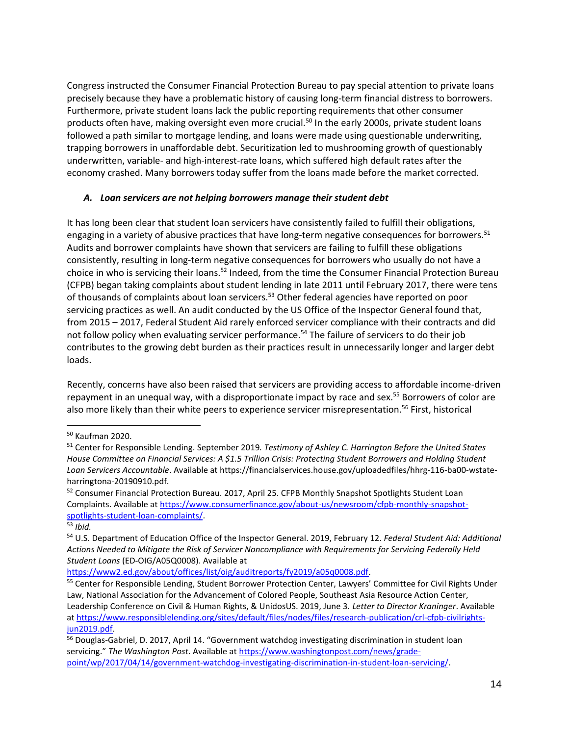Congress instructed the Consumer Financial Protection Bureau to pay special attention to private loans precisely because they have a problematic history of causing long-term financial distress to borrowers. Furthermore, private student loans lack the public reporting requirements that other consumer products often have, making oversight even more crucial.<sup>50</sup> In the early 2000s, private student loans followed a path similar to mortgage lending, and loans were made using questionable underwriting, trapping borrowers in unaffordable debt. Securitization led to mushrooming growth of questionably underwritten, variable- and high-interest-rate loans, which suffered high default rates after the economy crashed. Many borrowers today suffer from the loans made before the market corrected.

#### *A. Loan servicers are not helping borrowers manage their student debt*

It has long been clear that student loan servicers have consistently failed to fulfill their obligations, engaging in a variety of abusive practices that have long-term negative consequences for borrowers.<sup>51</sup> Audits and borrower complaints have shown that servicers are failing to fulfill these obligations consistently, resulting in long-term negative consequences for borrowers who usually do not have a choice in who is servicing their loans.<sup>52</sup> Indeed, from the time the Consumer Financial Protection Bureau (CFPB) began taking complaints about student lending in late 2011 until February 2017, there were tens of thousands of complaints about loan servicers.<sup>53</sup> Other federal agencies have reported on poor servicing practices as well. An audit conducted by the US Office of the Inspector General found that, from 2015 – 2017, Federal Student Aid rarely enforced servicer compliance with their contracts and did not follow policy when evaluating servicer performance.<sup>54</sup> The failure of servicers to do their job contributes to the growing debt burden as their practices result in unnecessarily longer and larger debt loads.

Recently, concerns have also been raised that servicers are providing access to affordable income-driven repayment in an unequal way, with a disproportionate impact by race and sex.<sup>55</sup> Borrowers of color are also more likely than their white peers to experience servicer misrepresentation.<sup>56</sup> First, historical

[https://www2.ed.gov/about/offices/list/oig/auditreports/fy2019/a05q0008.pdf.](https://www2.ed.gov/about/offices/list/oig/auditreports/fy2019/a05q0008.pdf)

<sup>50</sup> Kaufman 2020.

<sup>51</sup> Center for Responsible Lending. September 2019*. Testimony of Ashley C. Harrington Before the United States House Committee on Financial Services: A \$1.5 Trillion Crisis: Protecting Student Borrowers and Holding Student Loan Servicers Accountable*. Available at https://financialservices.house.gov/uploadedfiles/hhrg-116-ba00-wstateharringtona-20190910.pdf.

<sup>52</sup> Consumer Financial Protection Bureau. 2017, April 25. CFPB Monthly Snapshot Spotlights Student Loan Complaints. Available at [https://www.consumerfinance.gov/about-us/newsroom/cfpb-monthly-snapshot](https://www.consumerfinance.gov/about-us/newsroom/cfpb-monthly-snapshot-spotlights-student-loan-complaints/)[spotlights-student-loan-complaints/.](https://www.consumerfinance.gov/about-us/newsroom/cfpb-monthly-snapshot-spotlights-student-loan-complaints/)

<sup>53</sup> *Ibid.*

<sup>54</sup> U.S. Department of Education Office of the Inspector General. 2019, February 12. *Federal Student Aid: Additional Actions Needed to Mitigate the Risk of Servicer Noncompliance with Requirements for Servicing Federally Held Student Loans* (ED-OIG/A05Q0008). Available at

<sup>&</sup>lt;sup>55</sup> Center for Responsible Lending, Student Borrower Protection Center, Lawyers' Committee for Civil Rights Under Law, National Association for the Advancement of Colored People, Southeast Asia Resource Action Center, Leadership Conference on Civil & Human Rights, & UnidosUS. 2019, June 3. *Letter to Director Kraninger*. Available a[t https://www.responsiblelending.org/sites/default/files/nodes/files/research-publication/crl-cfpb-civilrights](https://www.responsiblelending.org/sites/default/files/nodes/files/research-publication/crl-cfpb-civilrights-jun2019.pdf)[jun2019.pdf.](https://www.responsiblelending.org/sites/default/files/nodes/files/research-publication/crl-cfpb-civilrights-jun2019.pdf)

<sup>&</sup>lt;sup>56</sup> Douglas-Gabriel, D. 2017, April 14. "Government watchdog investigating discrimination in student loan servicing." *The Washington Post*. Available at [https://www.washingtonpost.com/news/grade](https://www.washingtonpost.com/news/grade-point/wp/2017/04/14/government-watchdog-investigating-discrimination-in-student-loan-servicing/)[point/wp/2017/04/14/government-watchdog-investigating-discrimination-in-student-loan-servicing/.](https://www.washingtonpost.com/news/grade-point/wp/2017/04/14/government-watchdog-investigating-discrimination-in-student-loan-servicing/)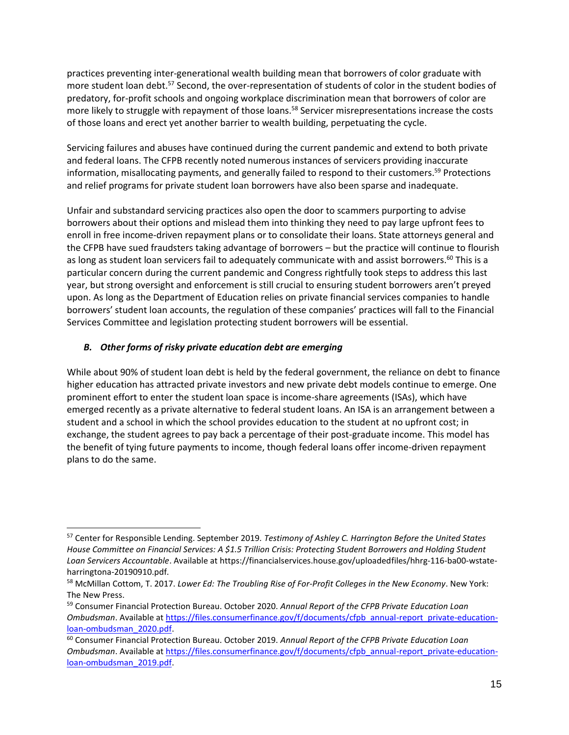practices preventing inter-generational wealth building mean that borrowers of color graduate with more student loan debt.<sup>57</sup> Second, the over-representation of students of color in the student bodies of predatory, for-profit schools and ongoing workplace discrimination mean that borrowers of color are more likely to struggle with repayment of those loans.<sup>58</sup> Servicer misrepresentations increase the costs of those loans and erect yet another barrier to wealth building, perpetuating the cycle.

Servicing failures and abuses have continued during the current pandemic and extend to both private and federal loans. The CFPB recently noted numerous instances of servicers providing inaccurate information, misallocating payments, and generally failed to respond to their customers.<sup>59</sup> Protections and relief programs for private student loan borrowers have also been sparse and inadequate.

Unfair and substandard servicing practices also open the door to scammers purporting to advise borrowers about their options and mislead them into thinking they need to pay large upfront fees to enroll in free income-driven repayment plans or to consolidate their loans. State attorneys general and the CFPB have sued fraudsters taking advantage of borrowers – but the practice will continue to flourish as long as student loan servicers fail to adequately communicate with and assist borrowers.<sup>60</sup> This is a particular concern during the current pandemic and Congress rightfully took steps to address this last year, but strong oversight and enforcement is still crucial to ensuring student borrowers aren't preyed upon. As long as the Department of Education relies on private financial services companies to handle borrowers' student loan accounts, the regulation of these companies' practices will fall to the Financial Services Committee and legislation protecting student borrowers will be essential.

## *B. Other forms of risky private education debt are emerging*

While about 90% of student loan debt is held by the federal government, the reliance on debt to finance higher education has attracted private investors and new private debt models continue to emerge. One prominent effort to enter the student loan space is income-share agreements (ISAs), which have emerged recently as a private alternative to federal student loans. An ISA is an arrangement between a student and a school in which the school provides education to the student at no upfront cost; in exchange, the student agrees to pay back a percentage of their post-graduate income. This model has the benefit of tying future payments to income, though federal loans offer income-driven repayment plans to do the same.

<sup>57</sup> Center for Responsible Lending. September 2019*. Testimony of Ashley C. Harrington Before the United States House Committee on Financial Services: A \$1.5 Trillion Crisis: Protecting Student Borrowers and Holding Student Loan Servicers Accountable*. Available at https://financialservices.house.gov/uploadedfiles/hhrg-116-ba00-wstateharringtona-20190910.pdf.

<sup>58</sup> McMillan Cottom, T. 2017. *Lower Ed: The Troubling Rise of For-Profit Colleges in the New Economy*. New York: The New Press.

<sup>59</sup> Consumer Financial Protection Bureau. October 2020. *Annual Report of the CFPB Private Education Loan Ombudsman*. Available a[t https://files.consumerfinance.gov/f/documents/cfpb\\_annual-report\\_private-education](https://files.consumerfinance.gov/f/documents/cfpb_annual-report_private-education-loan-ombudsman_2020.pdf)[loan-ombudsman\\_2020.pdf.](https://files.consumerfinance.gov/f/documents/cfpb_annual-report_private-education-loan-ombudsman_2020.pdf)

<sup>60</sup> Consumer Financial Protection Bureau. October 2019. *Annual Report of the CFPB Private Education Loan Ombudsman*. Available a[t https://files.consumerfinance.gov/f/documents/cfpb\\_annual-report\\_private-education](https://files.consumerfinance.gov/f/documents/cfpb_annual-report_private-education-loan-ombudsman_2019.pdf)[loan-ombudsman\\_2019.pdf.](https://files.consumerfinance.gov/f/documents/cfpb_annual-report_private-education-loan-ombudsman_2019.pdf)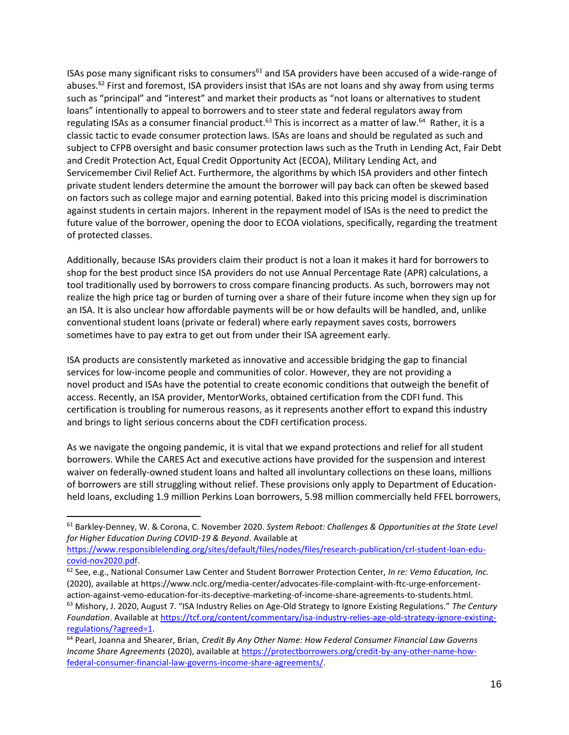ISAs pose many significant risks to consumers<sup>61</sup> and ISA providers have been accused of a wide-range of abuses.<sup>62</sup> First and foremost, ISA providers insist that ISAs are not loans and shy away from using terms such as "principal" and "interest" and market their products as "not loans or alternatives to student loans" intentionally to appeal to borrowers and to steer state and federal regulators away from regulating ISAs as a consumer financial product.<sup>63</sup> This is incorrect as a matter of law.<sup>64</sup> Rather, it is a classic tactic to evade consumer protection laws. ISAs are loans and should be regulated as such and subject to CFPB oversight and basic consumer protection laws such as the Truth in Lending Act, Fair Debt and Credit Protection Act, Equal Credit Opportunity Act (ECOA), Military Lending Act, and Servicemember Civil Relief Act. Furthermore, the algorithms by which ISA providers and other fintech private student lenders determine the amount the borrower will pay back can often be skewed based on factors such as college major and earning potential. Baked into this pricing model is discrimination against students in certain majors. Inherent in the repayment model of ISAs is the need to predict the future value of the borrower, opening the door to ECOA violations, specifically, regarding the treatment of protected classes.

Additionally, because ISAs providers claim their product is not a loan it makes it hard for borrowers to shop for the best product since ISA providers do not use Annual Percentage Rate (APR) calculations, a tool traditionally used by borrowers to cross compare financing products. As such, borrowers may not realize the high price tag or burden of turning over a share of their future income when they sign up for an ISA. It is also unclear how affordable payments will be or how defaults will be handled, and, unlike conventional student loans (private or federal) where early repayment saves costs, borrowers sometimes have to pay extra to get out from under their ISA agreement early.

ISA products are consistently marketed as innovative and accessible bridging the gap to financial services for low-income people and communities of color. However, they are not providing a novel product and ISAs have the potential to create economic conditions that outweigh the benefit of access. Recently, an ISA provider, MentorWorks, obtained certification from the CDFI fund. This certification is troubling for numerous reasons, as it represents another effort to expand this industry and brings to light serious concerns about the CDFI certification process.

As we navigate the ongoing pandemic, it is vital that we expand protections and relief for all student borrowers. While the CARES Act and executive actions have provided for the suspension and interest waiver on federally-owned student loans and halted all involuntary collections on these loans, millions of borrowers are still struggling without relief. These provisions only apply to Department of Educationheld loans, excluding 1.9 million Perkins Loan borrowers, 5.98 million commercially held FFEL borrowers,

<sup>61</sup> Barkley-Denney, W. & Corona, C. November 2020. *System Reboot: Challenges & Opportunities at the State Level for Higher Education During COVID-19 & Beyond*. Available at

[https://www.responsiblelending.org/sites/default/files/nodes/files/research-publication/crl-student-loan-edu](https://www.responsiblelending.org/sites/default/files/nodes/files/research-publication/crl-student-loan-edu-covid-nov2020.pdf)[covid-nov2020.pdf.](https://www.responsiblelending.org/sites/default/files/nodes/files/research-publication/crl-student-loan-edu-covid-nov2020.pdf)

<sup>62</sup> See, e.g., National Consumer Law Center and Student Borrower Protection Center, *In re: Vemo Education, Inc.*  (2020), available at https://www.nclc.org/media-center/advocates-file-complaint-with-ftc-urge-enforcementaction-against-vemo-education-for-its-deceptive-marketing-of-income-share-agreements-to-students.html. <sup>63</sup> Mishory, J. 2020, August 7. "ISA Industry Relies on Age-Old Strategy to Ignore Existing Regulations." *The Century* 

*Foundation*. Available a[t https://tcf.org/content/commentary/isa-industry-relies-age-old-strategy-ignore-existing](https://tcf.org/content/commentary/isa-industry-relies-age-old-strategy-ignore-existing-regulations/?agreed=1)[regulations/?agreed=1.](https://tcf.org/content/commentary/isa-industry-relies-age-old-strategy-ignore-existing-regulations/?agreed=1) 

<sup>64</sup> Pearl, Joanna and Shearer, Brian, *Credit By Any Other Name: How Federal Consumer Financial Law Governs Income Share Agreements* (2020), available at [https://protectborrowers.org/credit-by-any-other-name-how](https://protectborrowers.org/credit-by-any-other-name-how-federal-consumer-financial-law-governs-income-share-agreements/)[federal-consumer-financial-law-governs-income-share-agreements/.](https://protectborrowers.org/credit-by-any-other-name-how-federal-consumer-financial-law-governs-income-share-agreements/)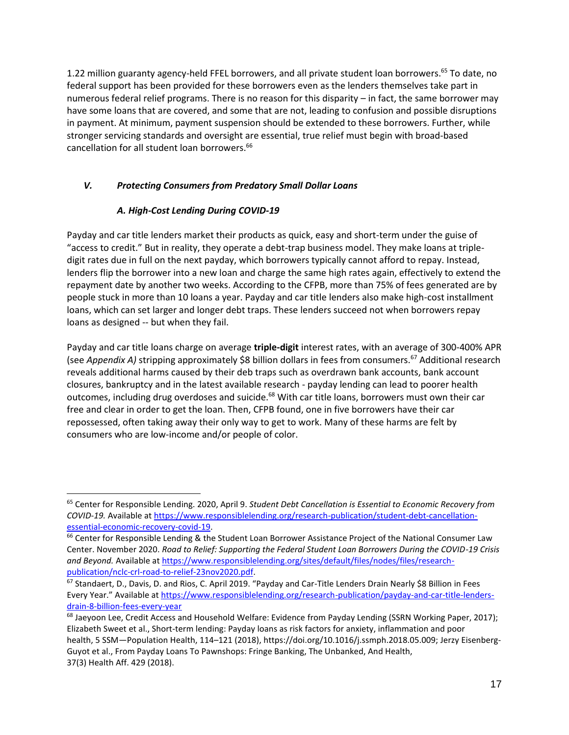1.22 million guaranty agency-held FFEL borrowers, and all private student loan borrowers.<sup>65</sup> To date, no federal support has been provided for these borrowers even as the lenders themselves take part in numerous federal relief programs. There is no reason for this disparity – in fact, the same borrower may have some loans that are covered, and some that are not, leading to confusion and possible disruptions in payment. At minimum, payment suspension should be extended to these borrowers. Further, while stronger servicing standards and oversight are essential, true relief must begin with broad-based cancellation for all student loan borrowers. 66

### *V. Protecting Consumers from Predatory Small Dollar Loans*

## *A. High-Cost Lending During COVID-19*

Payday and car title lenders market their products as quick, easy and short-term under the guise of "access to credit." But in reality, they operate a debt-trap business model. They make loans at tripledigit rates due in full on the next payday, which borrowers typically cannot afford to repay. Instead, lenders flip the borrower into a new loan and charge the same high rates again, effectively to extend the repayment date by another two weeks. According to the CFPB, more than 75% of fees generated are by people stuck in more than 10 loans a year. Payday and car title lenders also make high-cost installment loans, which can set larger and longer debt traps. These lenders succeed not when borrowers repay loans as designed -- but when they fail.

Payday and car title loans charge on average **triple-digit** interest rates, with an average of 300-400% APR (see *Appendix A)* stripping approximately \$8 billion dollars in fees from consumers.<sup>67</sup> Additional research reveals additional harms caused by their deb traps such as overdrawn bank accounts, bank account closures, bankruptcy and in the latest available research - payday lending can lead to poorer health outcomes, including drug overdoses and suicide.<sup>68</sup> With car title loans, borrowers must own their car free and clear in order to get the loan. Then, CFPB found, one in five borrowers have their car repossessed, often taking away their only way to get to work. Many of these harms are felt by consumers who are low-income and/or people of color.

<sup>65</sup> Center for Responsible Lending. 2020, April 9. *Student Debt Cancellation is Essential to Economic Recovery from COVID-19.* Available at [https://www.responsiblelending.org/research-publication/student-debt-cancellation](https://www.responsiblelending.org/research-publication/student-debt-cancellation-essential-economic-recovery-covid-19)[essential-economic-recovery-covid-19.](https://www.responsiblelending.org/research-publication/student-debt-cancellation-essential-economic-recovery-covid-19)

<sup>&</sup>lt;sup>66</sup> Center for Responsible Lending & the Student Loan Borrower Assistance Project of the National Consumer Law Center. November 2020. *Road to Relief: Supporting the Federal Student Loan Borrowers During the COVID-19 Crisis and Beyond.* Available a[t https://www.responsiblelending.org/sites/default/files/nodes/files/research](https://www.responsiblelending.org/sites/default/files/nodes/files/research-publication/nclc-crl-road-to-relief-23nov2020.pdf)[publication/nclc-crl-road-to-relief-23nov2020.pdf.](https://www.responsiblelending.org/sites/default/files/nodes/files/research-publication/nclc-crl-road-to-relief-23nov2020.pdf)

<sup>67</sup> Standaert, D., Davis, D. and Rios, C. April 2019. "Payday and Car-Title Lenders Drain Nearly \$8 Billion in Fees Every Year." Available a[t https://www.responsiblelending.org/research-publication/payday-and-car-title-lenders](https://www.responsiblelending.org/research-publication/payday-and-car-title-lenders-drain-8-billion-fees-every-year)[drain-8-billion-fees-every-year](https://www.responsiblelending.org/research-publication/payday-and-car-title-lenders-drain-8-billion-fees-every-year)

<sup>&</sup>lt;sup>68</sup> Jaeyoon Lee, Credit Access and Household Welfare: Evidence from Payday Lending (SSRN Working Paper, 2017); Elizabeth Sweet et al., Short-term lending: Payday loans as risk factors for anxiety, inflammation and poor health, 5 SSM—Population Health, 114–121 (2018), https://doi.org/10.1016/j.ssmph.2018.05.009; Jerzy Eisenberg-Guyot et al., From Payday Loans To Pawnshops: Fringe Banking, The Unbanked, And Health, 37(3) Health Aff. 429 (2018).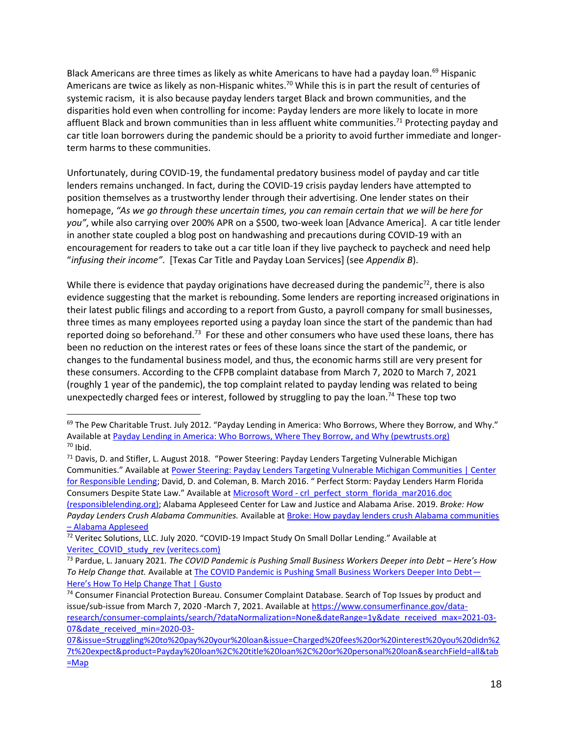Black Americans are three times as likely as white Americans to have had a payday loan.<sup>69</sup> Hispanic Americans are twice as likely as non-Hispanic whites.<sup>70</sup> While this is in part the result of centuries of systemic racism, it is also because payday lenders target Black and brown communities, and the disparities hold even when controlling for income: Payday lenders are more likely to locate in more affluent Black and brown communities than in less affluent white communities.<sup>71</sup> Protecting payday and car title loan borrowers during the pandemic should be a priority to avoid further immediate and longerterm harms to these communities.

Unfortunately, during COVID-19, the fundamental predatory business model of payday and car title lenders remains unchanged. In fact, during the COVID-19 crisis payday lenders have attempted to position themselves as a trustworthy lender through their advertising. One lender states on their homepage, *"As we go through these uncertain times, you can remain certain that we will be here for you"*, while also carrying over 200% APR on a \$500, two-week loan [Advance America]. A car title lender in another state coupled a blog post on handwashing and precautions during COVID-19 with an encouragement for readers to take out a car title loan if they live paycheck to paycheck and need help "*infusing their income"*. [Texas Car Title and Payday Loan Services] (see *Appendix B*).

While there is evidence that payday originations have decreased during the pandemic $72$ , there is also evidence suggesting that the market is rebounding. Some lenders are reporting increased originations in their latest public filings and according to a report from Gusto, a payroll company for small businesses, three times as many employees reported using a payday loan since the start of the pandemic than had reported doing so beforehand.<sup>73</sup> For these and other consumers who have used these loans, there has been no reduction on the interest rates or fees of these loans since the start of the pandemic, or changes to the fundamental business model, and thus, the economic harms still are very present for these consumers. According to the CFPB complaint database from March 7, 2020 to March 7, 2021 (roughly 1 year of the pandemic), the top complaint related to payday lending was related to being unexpectedly charged fees or interest, followed by struggling to pay the loan.<sup>74</sup> These top two

 $69$  The Pew Charitable Trust. July 2012. "Payday Lending in America: Who Borrows, Where they Borrow, and Why." Available a[t Payday Lending in America: Who Borrows, Where They Borrow, and Why \(pewtrusts.org\)](https://www.pewtrusts.org/-/media/legacy/uploadedfiles/pcs_assets/2012/pewpaydaylendingreportpdf.pdf)  $70$  Ibid.

<sup>71</sup> Davis, D. and Stifler, L. August 2018. "Power Steering: Payday Lenders Targeting Vulnerable Michigan Communities." Available at [Power Steering: Payday Lenders Targeting Vulnerable Michigan Communities | Center](https://www.responsiblelending.org/research-publication/power-steering-payday-lenders-targeting-vulnerable-michigan-communities)  [for Responsible Lending](https://www.responsiblelending.org/research-publication/power-steering-payday-lenders-targeting-vulnerable-michigan-communities); David, D. and Coleman, B. March 2016. " Perfect Storm: Payday Lenders Harm Florida Consumers Despite State Law." Available at Microsoft Word - [crl\\_perfect\\_storm\\_florida\\_mar2016.doc](https://www.responsiblelending.org/sites/default/files/nodes/files/research-publication/crl_perfect_storm_florida_mar2016_0.pdf)  [\(responsiblelending.org\);](https://www.responsiblelending.org/sites/default/files/nodes/files/research-publication/crl_perfect_storm_florida_mar2016_0.pdf) Alabama Appleseed Center for Law and Justice and Alabama Arise. 2019. *Broke: How Payday Lenders Crush Alabama Communities.* Available at [Broke: How payday lenders crush Alabama communities](https://www.alabamaappleseed.org/broke-report/)  – [Alabama Appleseed](https://www.alabamaappleseed.org/broke-report/)

 $\frac{72}{12}$  Veritec Solutions, LLC. July 2020. "COVID-19 Impact Study On Small Dollar Lending." Available at [Veritec\\_COVID\\_study\\_rev \(veritecs.com\)](https://www.veritecs.com/wp-content/uploads/2020/07/Veritec_COVID_study_rev.pdf)

<sup>73</sup> Pardue, L. January 2021. The COVID Pandemic is Pushing Small Business Workers Deeper into Debt - Here's How *To Help Change that.* Available at [The COVID Pandemic is Pushing Small Business Workers Deeper Into Debt](https://gusto.com/company-news/the-pandemic-put-small-business-workers-into-debt-heres-how-we-can-help-change-that)— [Here's How To Help Change That | Gusto](https://gusto.com/company-news/the-pandemic-put-small-business-workers-into-debt-heres-how-we-can-help-change-that)

<sup>74</sup> Consumer Financial Protection Bureau. Consumer Complaint Database. Search of Top Issues by product and issue/sub-issue from March 7, 2020 -March 7, 2021. Available a[t https://www.consumerfinance.gov/data](https://www.consumerfinance.gov/data-research/consumer-complaints/search/?dataNormalization=None&dateRange=1y&date_received_max=2021-03-07&date_received_min=2020-03-07&issue=Struggling%20to%20pay%20your%20loan&issue=Charged%20fees%20or%20interest%20you%20didn%27t%20expect&product=Payday%20loan%2C%20title%20loan%2C%20or%20personal%20loan&searchField=all&tab=Map)[research/consumer-complaints/search/?dataNormalization=None&dateRange=1y&date\\_received\\_max=2021-03-](https://www.consumerfinance.gov/data-research/consumer-complaints/search/?dataNormalization=None&dateRange=1y&date_received_max=2021-03-07&date_received_min=2020-03-07&issue=Struggling%20to%20pay%20your%20loan&issue=Charged%20fees%20or%20interest%20you%20didn%27t%20expect&product=Payday%20loan%2C%20title%20loan%2C%20or%20personal%20loan&searchField=all&tab=Map) [07&date\\_received\\_min=2020-03-](https://www.consumerfinance.gov/data-research/consumer-complaints/search/?dataNormalization=None&dateRange=1y&date_received_max=2021-03-07&date_received_min=2020-03-07&issue=Struggling%20to%20pay%20your%20loan&issue=Charged%20fees%20or%20interest%20you%20didn%27t%20expect&product=Payday%20loan%2C%20title%20loan%2C%20or%20personal%20loan&searchField=all&tab=Map)

[<sup>07&</sup>amp;issue=Struggling%20to%20pay%20your%20loan&issue=Charged%20fees%20or%20interest%20you%20didn%2](https://www.consumerfinance.gov/data-research/consumer-complaints/search/?dataNormalization=None&dateRange=1y&date_received_max=2021-03-07&date_received_min=2020-03-07&issue=Struggling%20to%20pay%20your%20loan&issue=Charged%20fees%20or%20interest%20you%20didn%27t%20expect&product=Payday%20loan%2C%20title%20loan%2C%20or%20personal%20loan&searchField=all&tab=Map) [7t%20expect&product=Payday%20loan%2C%20title%20loan%2C%20or%20personal%20loan&searchField=all&tab](https://www.consumerfinance.gov/data-research/consumer-complaints/search/?dataNormalization=None&dateRange=1y&date_received_max=2021-03-07&date_received_min=2020-03-07&issue=Struggling%20to%20pay%20your%20loan&issue=Charged%20fees%20or%20interest%20you%20didn%27t%20expect&product=Payday%20loan%2C%20title%20loan%2C%20or%20personal%20loan&searchField=all&tab=Map)  $=Map$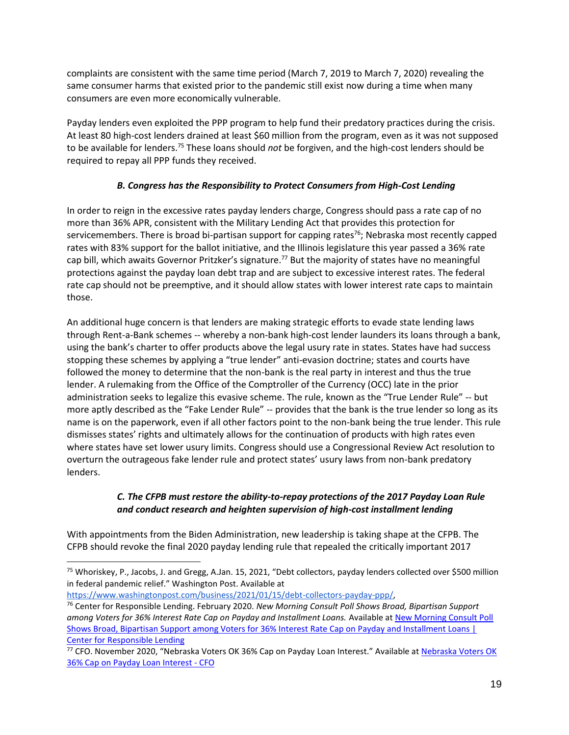complaints are consistent with the same time period (March 7, 2019 to March 7, 2020) revealing the same consumer harms that existed prior to the pandemic still exist now during a time when many consumers are even more economically vulnerable.

Payday lenders even exploited the PPP program to help fund their predatory practices during the crisis. At least 80 high-cost lenders drained at least \$60 million from the program, even as it was not supposed to be available for lenders.<sup>75</sup> These loans should *not* be forgiven, and the high-cost lenders should be required to repay all PPP funds they received.

### *B. Congress has the Responsibility to Protect Consumers from High-Cost Lending*

In order to reign in the excessive rates payday lenders charge, Congress should pass a rate cap of no more than 36% APR, consistent with the Military Lending Act that provides this protection for servicemembers. There is broad bi-partisan support for capping rates<sup>76</sup>; Nebraska most recently capped rates with 83% support for the ballot initiative, and the Illinois legislature this year passed a 36% rate cap bill, which awaits Governor Pritzker's signature.<sup>77</sup> But the majority of states have no meaningful protections against the payday loan debt trap and are subject to excessive interest rates. The federal rate cap should not be preemptive, and it should allow states with lower interest rate caps to maintain those.

An additional huge concern is that lenders are making strategic efforts to evade state lending laws through Rent-a-Bank schemes -- whereby a non-bank high-cost lender launders its loans through a bank, using the bank's charter to offer products above the legal usury rate in states. States have had success stopping these schemes by applying a "true lender" anti-evasion doctrine; states and courts have followed the money to determine that the non-bank is the real party in interest and thus the true lender. A rulemaking from the Office of the Comptroller of the Currency (OCC) late in the prior administration seeks to legalize this evasive scheme. The rule, known as the "True Lender Rule" -- but more aptly described as the "Fake Lender Rule" -- provides that the bank is the true lender so long as its name is on the paperwork, even if all other factors point to the non-bank being the true lender. This rule dismisses states' rights and ultimately allows for the continuation of products with high rates even where states have set lower usury limits. Congress should use a Congressional Review Act resolution to overturn the outrageous fake lender rule and protect states' usury laws from non-bank predatory lenders.

### *C. The CFPB must restore the ability-to-repay protections of the 2017 Payday Loan Rule and conduct research and heighten supervision of high-cost installment lending*

With appointments from the Biden Administration, new leadership is taking shape at the CFPB. The CFPB should revoke the final 2020 payday lending rule that repealed the critically important 2017

[https://www.washingtonpost.com/business/2021/01/15/debt-collectors-payday-ppp/,](https://www.washingtonpost.com/business/2021/01/15/debt-collectors-payday-ppp/) 

<sup>&</sup>lt;sup>75</sup> Whoriskey, P., Jacobs, J. and Gregg, A.Jan. 15, 2021, "Debt collectors, payday lenders collected over \$500 million in federal pandemic relief." Washington Post. Available at

<sup>76</sup> Center for Responsible Lending. February 2020. *New Morning Consult Poll Shows Broad, Bipartisan Support among Voters for 36% Interest Rate Cap on Payday and Installment Loans.* Available at [New Morning Consult Poll](https://www.responsiblelending.org/media/new-morning-consult-poll-shows-broad-bipartisan-support-among-voters-36-interest-rate-cap)  [Shows Broad, Bipartisan Support among Voters for 36% Interest Rate Cap on Payday and Installment Loans |](https://www.responsiblelending.org/media/new-morning-consult-poll-shows-broad-bipartisan-support-among-voters-36-interest-rate-cap)  [Center for Responsible Lending](https://www.responsiblelending.org/media/new-morning-consult-poll-shows-broad-bipartisan-support-among-voters-36-interest-rate-cap)

<sup>77</sup> CFO. November 2020, "[Nebraska Voters OK](https://www.cfo.com/regulation/2020/11/neb-voters-ok-36-cap-on-payday-loan-interest/#:~:text=Nebraska%20has%20become%20the%20latest%20state%20to%20cap,limit%20on%20the%20interest%20payday%20lenders%20can%20charge.) 36% Cap on Payday Loan Interest." Available at Nebraska Voters OK [36% Cap on Payday Loan Interest -](https://www.cfo.com/regulation/2020/11/neb-voters-ok-36-cap-on-payday-loan-interest/#:~:text=Nebraska%20has%20become%20the%20latest%20state%20to%20cap,limit%20on%20the%20interest%20payday%20lenders%20can%20charge.) CFO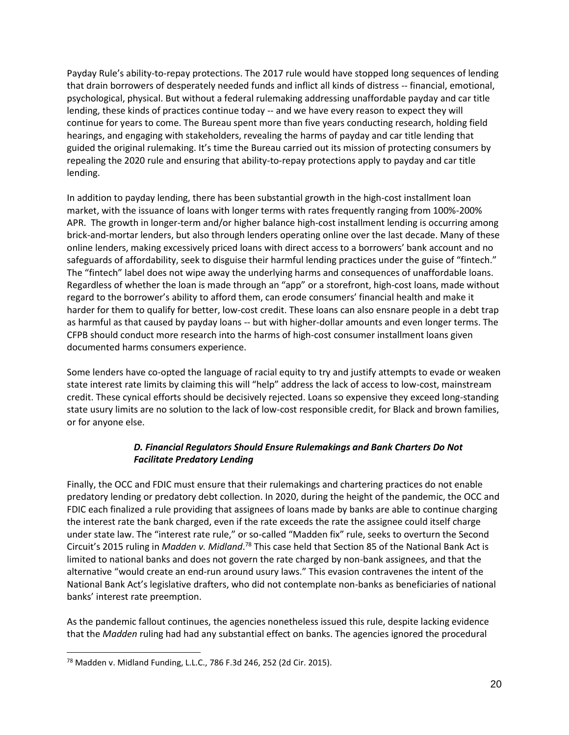Payday Rule's ability-to-repay protections. The 2017 rule would have stopped long sequences of lending that drain borrowers of desperately needed funds and inflict all kinds of distress -- financial, emotional, psychological, physical. But without a federal rulemaking addressing unaffordable payday and car title lending, these kinds of practices continue today -- and we have every reason to expect they will continue for years to come. The Bureau spent more than five years conducting research, holding field hearings, and engaging with stakeholders, revealing the harms of payday and car title lending that guided the original rulemaking. It's time the Bureau carried out its mission of protecting consumers by repealing the 2020 rule and ensuring that ability-to-repay protections apply to payday and car title lending.

In addition to payday lending, there has been substantial growth in the high-cost installment loan market, with the issuance of loans with longer terms with rates frequently ranging from 100%-200% APR. The growth in longer-term and/or higher balance high-cost installment lending is occurring among brick-and-mortar lenders, but also through lenders operating online over the last decade. Many of these online lenders, making excessively priced loans with direct access to a borrowers' bank account and no safeguards of affordability, seek to disguise their harmful lending practices under the guise of "fintech." The "fintech" label does not wipe away the underlying harms and consequences of unaffordable loans. Regardless of whether the loan is made through an "app" or a storefront, high-cost loans, made without regard to the borrower's ability to afford them, can erode consumers' financial health and make it harder for them to qualify for better, low-cost credit. These loans can also ensnare people in a debt trap as harmful as that caused by payday loans -- but with higher-dollar amounts and even longer terms. The CFPB should conduct more research into the harms of high-cost consumer installment loans given documented harms consumers experience.

Some lenders have co-opted the language of racial equity to try and justify attempts to evade or weaken state interest rate limits by claiming this will "help" address the lack of access to low-cost, mainstream credit. These cynical efforts should be decisively rejected. Loans so expensive they exceed long-standing state usury limits are no solution to the lack of low-cost responsible credit, for Black and brown families, or for anyone else.

### *D. Financial Regulators Should Ensure Rulemakings and Bank Charters Do Not Facilitate Predatory Lending*

Finally, the OCC and FDIC must ensure that their rulemakings and chartering practices do not enable predatory lending or predatory debt collection. In 2020, during the height of the pandemic, the OCC and FDIC each finalized a rule providing that assignees of loans made by banks are able to continue charging the interest rate the bank charged, even if the rate exceeds the rate the assignee could itself charge under state law. The "interest rate rule," or so-called "Madden fix" rule, seeks to overturn the Second Circuit's 2015 ruling in *Madden v. Midland*. <sup>78</sup> This case held that Section 85 of the National Bank Act is limited to national banks and does not govern the rate charged by non-bank assignees, and that the alternative "would create an end-run around usury laws." This evasion contravenes the intent of the National Bank Act's legislative drafters, who did not contemplate non-banks as beneficiaries of national banks' interest rate preemption.

As the pandemic fallout continues, the agencies nonetheless issued this rule, despite lacking evidence that the *Madden* ruling had had any substantial effect on banks. The agencies ignored the procedural

<sup>78</sup> Madden v. Midland Funding, L.L.C., 786 F.3d 246, 252 (2d Cir. 2015).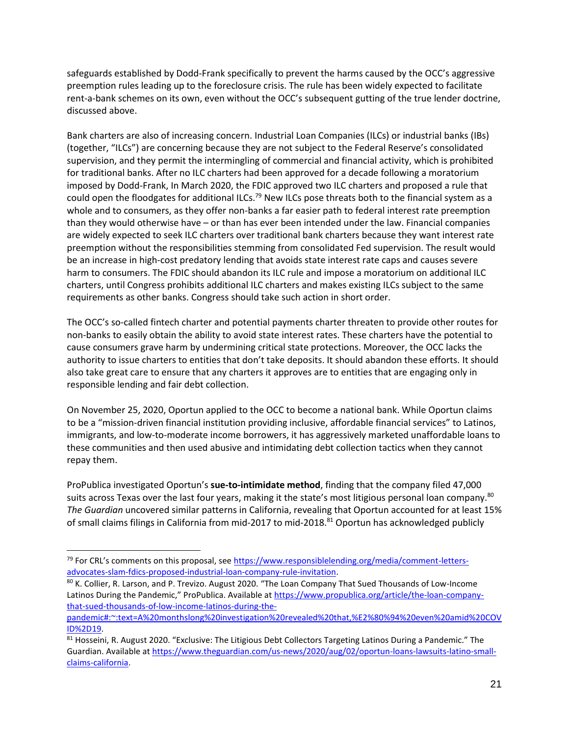safeguards established by Dodd-Frank specifically to prevent the harms caused by the OCC's aggressive preemption rules leading up to the foreclosure crisis. The rule has been widely expected to facilitate rent-a-bank schemes on its own, even without the OCC's subsequent gutting of the true lender doctrine, discussed above.

Bank charters are also of increasing concern. Industrial Loan Companies (ILCs) or industrial banks (IBs) (together, "ILCs") are concerning because they are not subject to the Federal Reserve's consolidated supervision, and they permit the intermingling of commercial and financial activity, which is prohibited for traditional banks. After no ILC charters had been approved for a decade following a moratorium imposed by Dodd-Frank, In March 2020, the FDIC approved two ILC charters and proposed a rule that could open the floodgates for additional ILCs.<sup>79</sup> New ILCs pose threats both to the financial system as a whole and to consumers, as they offer non-banks a far easier path to federal interest rate preemption than they would otherwise have – or than has ever been intended under the law. Financial companies are widely expected to seek ILC charters over traditional bank charters because they want interest rate preemption without the responsibilities stemming from consolidated Fed supervision. The result would be an increase in high-cost predatory lending that avoids state interest rate caps and causes severe harm to consumers. The FDIC should abandon its ILC rule and impose a moratorium on additional ILC charters, until Congress prohibits additional ILC charters and makes existing ILCs subject to the same requirements as other banks. Congress should take such action in short order.

The OCC's so-called fintech charter and potential payments charter threaten to provide other routes for non-banks to easily obtain the ability to avoid state interest rates. These charters have the potential to cause consumers grave harm by undermining critical state protections. Moreover, the OCC lacks the authority to issue charters to entities that don't take deposits. It should abandon these efforts. It should also take great care to ensure that any charters it approves are to entities that are engaging only in responsible lending and fair debt collection.

On November 25, 2020, Oportun applied to the OCC to become a national bank. While Oportun claims to be a "mission-driven financial institution providing inclusive, affordable financial services" to Latinos, immigrants, and low-to-moderate income borrowers, it has aggressively marketed unaffordable loans to these communities and then used abusive and intimidating debt collection tactics when they cannot repay them.

ProPublica investigated Oportun's **sue-to-intimidate method**, finding that the company filed 47,000 suits across Texas over the last four years, making it the state's most litigious personal loan company.<sup>80</sup> *The Guardian* uncovered similar patterns in California, revealing that Oportun accounted for at least 15% of small claims filings in California from mid-2017 to mid-2018.<sup>81</sup> Oportun has acknowledged publicly

<sup>&</sup>lt;sup>79</sup> For CRL's comments on this proposal, see [https://www.responsiblelending.org/media/comment-letters](https://www.responsiblelending.org/media/comment-letters-advocates-slam-fdics-proposed-industrial-loan-company-rule-invitation)[advocates-slam-fdics-proposed-industrial-loan-company-rule-invitation.](https://www.responsiblelending.org/media/comment-letters-advocates-slam-fdics-proposed-industrial-loan-company-rule-invitation)

<sup>80</sup> K. Collier, R. Larson, and P. Trevizo. August 2020. "The Loan Company That Sued Thousands of Low-Income Latinos During the Pandemic," ProPublica. Available at [https://www.propublica.org/article/the-loan-company](https://www.propublica.org/article/the-loan-company-that-sued-thousands-of-low-income-latinos-during-the-pandemic#:~:text=A%20monthslong%20investigation%20revealed%20that,%E2%80%94%20even%20amid%20COVID%2D19)[that-sued-thousands-of-low-income-latinos-during-the-](https://www.propublica.org/article/the-loan-company-that-sued-thousands-of-low-income-latinos-during-the-pandemic#:~:text=A%20monthslong%20investigation%20revealed%20that,%E2%80%94%20even%20amid%20COVID%2D19)

[pandemic#:~:text=A%20monthslong%20investigation%20revealed%20that,%E2%80%94%20even%20amid%20COV](https://www.propublica.org/article/the-loan-company-that-sued-thousands-of-low-income-latinos-during-the-pandemic#:~:text=A%20monthslong%20investigation%20revealed%20that,%E2%80%94%20even%20amid%20COVID%2D19) [ID%2D19.](https://www.propublica.org/article/the-loan-company-that-sued-thousands-of-low-income-latinos-during-the-pandemic#:~:text=A%20monthslong%20investigation%20revealed%20that,%E2%80%94%20even%20amid%20COVID%2D19)

<sup>81</sup> Hosseini, R. August 2020. "Exclusive: The Litigious Debt Collectors Targeting Latinos During a Pandemic." The Guardian. Available at [https://www.theguardian.com/us-news/2020/aug/02/oportun-loans-lawsuits-latino-small](https://www.theguardian.com/us-news/2020/aug/02/oportun-loans-lawsuits-latino-small-claims-california)[claims-california.](https://www.theguardian.com/us-news/2020/aug/02/oportun-loans-lawsuits-latino-small-claims-california)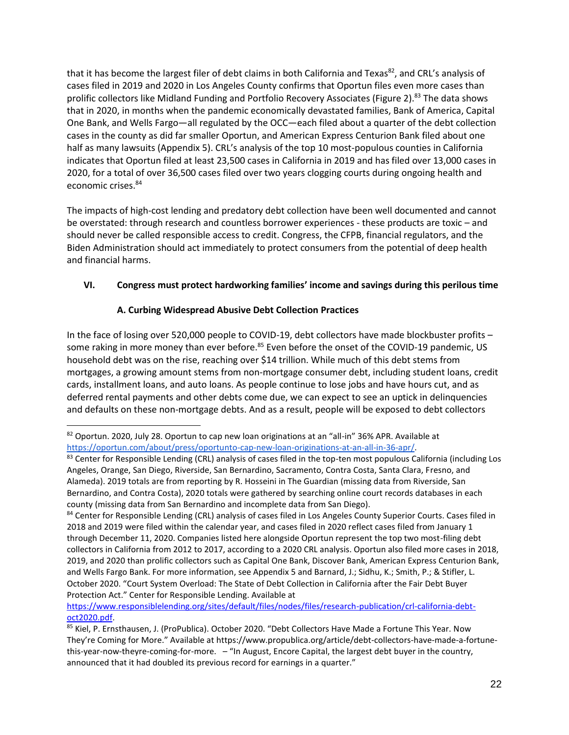that it has become the largest filer of debt claims in both California and Texas<sup>82</sup>, and CRL's analysis of cases filed in 2019 and 2020 in Los Angeles County confirms that Oportun files even more cases than prolific collectors like Midland Funding and Portfolio Recovery Associates (Figure 2).<sup>83</sup> The data shows that in 2020, in months when the pandemic economically devastated families, Bank of America, Capital One Bank, and Wells Fargo—all regulated by the OCC—each filed about a quarter of the debt collection cases in the county as did far smaller Oportun, and American Express Centurion Bank filed about one half as many lawsuits (Appendix 5). CRL's analysis of the top 10 most-populous counties in California indicates that Oportun filed at least 23,500 cases in California in 2019 and has filed over 13,000 cases in 2020, for a total of over 36,500 cases filed over two years clogging courts during ongoing health and economic crises. 84

The impacts of high-cost lending and predatory debt collection have been well documented and cannot be overstated: through research and countless borrower experiences - these products are toxic – and should never be called responsible access to credit. Congress, the CFPB, financial regulators, and the Biden Administration should act immediately to protect consumers from the potential of deep health and financial harms.

## **VI. Congress must protect hardworking families' income and savings during this perilous time**

### **A. Curbing Widespread Abusive Debt Collection Practices**

In the face of losing over 520,000 people to COVID-19, debt collectors have made blockbuster profits – some raking in more money than ever before.<sup>85</sup> Even before the onset of the COVID-19 pandemic, US household debt was on the rise, reaching over \$14 trillion. While much of this debt stems from mortgages, a growing amount stems from non-mortgage consumer debt, including student loans, credit cards, installment loans, and auto loans. As people continue to lose jobs and have hours cut, and as deferred rental payments and other debts come due, we can expect to see an uptick in delinquencies and defaults on these non-mortgage debts. And as a result, people will be exposed to debt collectors

[https://www.responsiblelending.org/sites/default/files/nodes/files/research-publication/crl-california-debt](https://www.responsiblelending.org/sites/default/files/nodes/files/research-publication/crl-california-debt-oct2020.pdf)[oct2020.pdf.](https://www.responsiblelending.org/sites/default/files/nodes/files/research-publication/crl-california-debt-oct2020.pdf)

<sup>82</sup> Oportun. 2020, July 28. Oportun to cap new loan originations at an "all-in" 36% APR. Available at [https://oportun.com/about/press/oportunto-cap-new-loan-originations-at-an-all-in-36-apr/.](https://oportun.com/about/press/oportunto-cap-new-loan-originations-at-an-all-in-36-apr/)

<sup>83</sup> Center for Responsible Lending (CRL) analysis of cases filed in the top-ten most populous California (including Los Angeles, Orange, San Diego, Riverside, San Bernardino, Sacramento, Contra Costa, Santa Clara, Fresno, and Alameda). 2019 totals are from reporting by R. Hosseini in The Guardian (missing data from Riverside, San Bernardino, and Contra Costa), 2020 totals were gathered by searching online court records databases in each county (missing data from San Bernardino and incomplete data from San Diego).

<sup>84</sup> Center for Responsible Lending (CRL) analysis of cases filed in Los Angeles County Superior Courts. Cases filed in 2018 and 2019 were filed within the calendar year, and cases filed in 2020 reflect cases filed from January 1 through December 11, 2020. Companies listed here alongside Oportun represent the top two most-filing debt collectors in California from 2012 to 2017, according to a 2020 CRL analysis. Oportun also filed more cases in 2018, 2019, and 2020 than prolific collectors such as Capital One Bank, Discover Bank, American Express Centurion Bank, and Wells Fargo Bank. For more information, see Appendix 5 and Barnard, J.; Sidhu, K.; Smith, P.; & Stifler, L. October 2020. "Court System Overload: The State of Debt Collection in California after the Fair Debt Buyer Protection Act." Center for Responsible Lending. Available at

<sup>85</sup> Kiel, P. Ernsthausen, J. (ProPublica). October 2020. "Debt Collectors Have Made a Fortune This Year. Now They're Coming for More." Available at [https://www.propublica.org/article/debt-collectors-have-made-a-fortune](https://www.propublica.org/article/debt-collectors-have-made-a-fortune-this-year-now-theyre-coming-for-more)[this-year-now-theyre-coming-for-more.](https://www.propublica.org/article/debt-collectors-have-made-a-fortune-this-year-now-theyre-coming-for-more) – "In August, Encore Capital, the largest debt buyer in the country, announced that it had doubled its previous record for earnings in a quarter."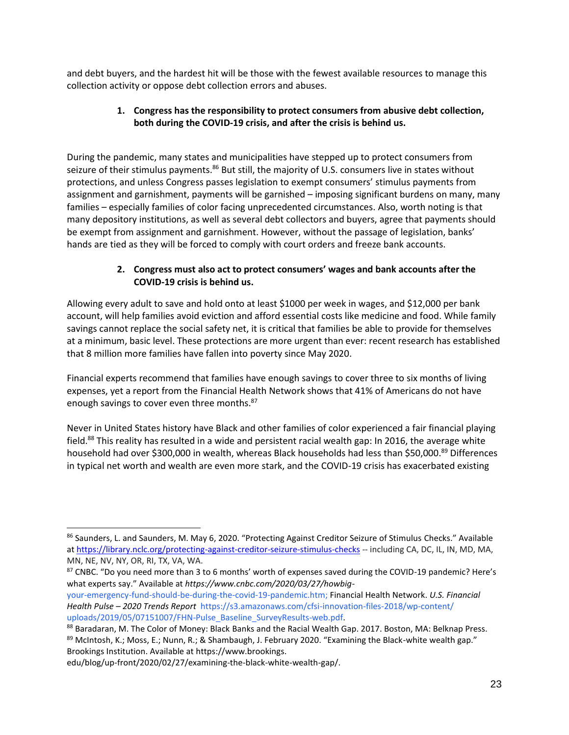and debt buyers, and the hardest hit will be those with the fewest available resources to manage this collection activity or oppose debt collection errors and abuses.

## **1. Congress has the responsibility to protect consumers from abusive debt collection, both during the COVID-19 crisis, and after the crisis is behind us.**

During the pandemic, many states and municipalities have stepped up to protect consumers from seizure of their stimulus payments.<sup>86</sup> But still, the majority of U.S. consumers live in states without protections, and unless Congress passes legislation to exempt consumers' stimulus payments from assignment and garnishment, payments will be garnished – imposing significant burdens on many, many families – especially families of color facing unprecedented circumstances. Also, worth noting is that many depository institutions, as well as several debt collectors and buyers, agree that payments should be exempt from assignment and garnishment. However, without the passage of legislation, banks' hands are tied as they will be forced to comply with court orders and freeze bank accounts.

### **2. Congress must also act to protect consumers' wages and bank accounts after the COVID-19 crisis is behind us.**

Allowing every adult to save and hold onto at least \$1000 per week in wages, and \$12,000 per bank account, will help families avoid eviction and afford essential costs like medicine and food. While family savings cannot replace the social safety net, it is critical that families be able to provide for themselves at a minimum, basic level. These protections are more urgent than ever: recent research has established that 8 million more families have fallen into poverty since May 2020.

Financial experts recommend that families have enough savings to cover three to six months of living expenses, yet a report from the Financial Health Network shows that 41% of Americans do not have enough savings to cover even three months.<sup>87</sup>

Never in United States history have Black and other families of color experienced a fair financial playing field.<sup>88</sup> This reality has resulted in a wide and persistent racial wealth gap: In 2016, the average white household had over \$300,000 in wealth, whereas Black households had less than \$50,000.89 Differences in typical net worth and wealth are even more stark, and the COVID-19 crisis has exacerbated existing

87 CNBC. "Do you need more than 3 to 6 months' worth of expenses saved during the COVID-19 pandemic? Here's what experts say." Available at *https://www.cnbc.com/2020/03/27/howbig-*

<sup>86</sup> Saunders, L. and Saunders, M. May 6, 2020. "Protecting Against Creditor Seizure of Stimulus Checks." Available at <https://library.nclc.org/protecting-against-creditor-seizure-stimulus-checks> -- including CA, DC, IL, IN, MD, MA, MN, NE, NV, NY, OR, RI, TX, VA, WA.

your-emergency-fund-should-be-during-the-covid-19-pandemic.htm; Financial Health Network. *U.S. Financial Health Pulse – 2020 Trends Report* https://s3.amazonaws.com/cfsi-innovation-files-2018/wp-content/ uploads/2019/05/07151007/FHN-Pulse\_Baseline\_SurveyResults-web.pdf.

<sup>88</sup> Baradaran, M. The Color of Money: Black Banks and the Racial Wealth Gap. 2017. Boston, MA: Belknap Press. 89 McIntosh, K.; Moss, E.; Nunn, R.; & Shambaugh, J. February 2020. "Examining the Black-white wealth gap." Brookings Institution. Available at https://www.brookings.

edu/blog/up-front/2020/02/27/examining-the-black-white-wealth-gap/.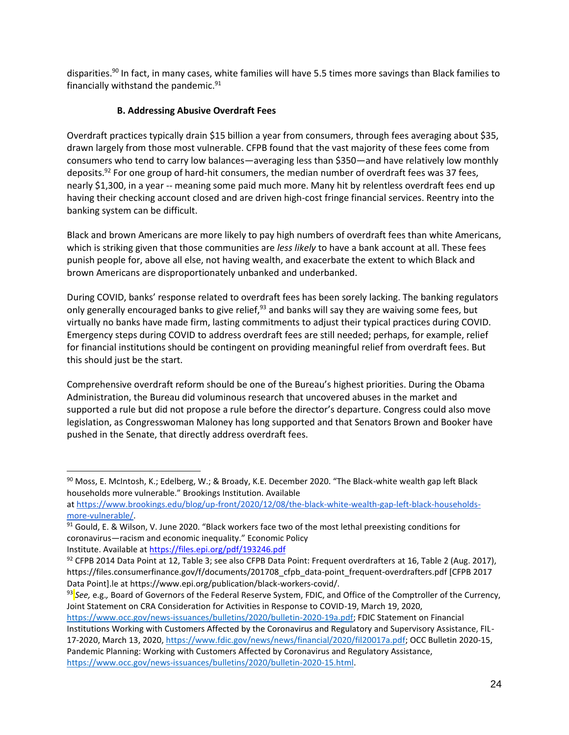disparities.<sup>90</sup> In fact, in many cases, white families will have 5.5 times more savings than Black families to financially withstand the pandemic. $91$ 

### **B. Addressing Abusive Overdraft Fees**

Overdraft practices typically drain \$15 billion a year from consumers, through fees averaging about \$35, drawn largely from those most vulnerable. CFPB found that the vast majority of these fees come from consumers who tend to carry low balances—averaging less than \$350—and have relatively low monthly deposits.<sup>92</sup> For one group of hard-hit consumers, the median number of overdraft fees was 37 fees, nearly \$1,300, in a year -- meaning some paid much more. Many hit by relentless overdraft fees end up having their checking account closed and are driven high-cost fringe financial services. Reentry into the banking system can be difficult.

Black and brown Americans are more likely to pay high numbers of overdraft fees than white Americans, which is striking given that those communities are *less likely* to have a bank account at all. These fees punish people for, above all else, not having wealth, and exacerbate the extent to which Black and brown Americans are disproportionately unbanked and underbanked.

During COVID, banks' response related to overdraft fees has been sorely lacking. The banking regulators only generally encouraged banks to give relief,<sup>93</sup> and banks will say they are waiving some fees, but virtually no banks have made firm, lasting commitments to adjust their typical practices during COVID. Emergency steps during COVID to address overdraft fees are still needed; perhaps, for example, relief for financial institutions should be contingent on providing meaningful relief from overdraft fees. But this should just be the start.

Comprehensive overdraft reform should be one of the Bureau's highest priorities. During the Obama Administration, the Bureau did voluminous research that uncovered abuses in the market and supported a rule but did not propose a rule before the director's departure. Congress could also move legislation, as Congresswoman Maloney has long supported and that Senators Brown and Booker have pushed in the Senate, that directly address overdraft fees.

Institute. Available a[t https://files.epi.org/pdf/193246.pdf](https://files.epi.org/pdf/193246.pdf) 

[https://www.occ.gov/news-issuances/bulletins/2020/bulletin-2020-19a.pdf;](https://www.occ.gov/news-issuances/bulletins/2020/bulletin-2020-19a.pdf) FDIC Statement on Financial Institutions Working with Customers Affected by the Coronavirus and Regulatory and Supervisory Assistance, FIL-17-2020, March 13, 2020[, https://www.fdic.gov/news/news/financial/2020/fil20017a.pdf;](https://www.fdic.gov/news/news/financial/2020/fil20017a.pdf) OCC Bulletin 2020-15, Pandemic Planning: Working with Customers Affected by Coronavirus and Regulatory Assistance, [https://www.occ.gov/news-issuances/bulletins/2020/bulletin-2020-15.html.](https://www.occ.gov/news-issuances/bulletins/2020/bulletin-2020-15.html)

<sup>90</sup> Moss, E. McIntosh, K.; Edelberg, W.; & Broady, K.E. December 2020. "The Black-white wealth gap left Black households more vulnerable." Brookings Institution. Available

at [https://www.brookings.edu/blog/up-front/2020/12/08/the-black-white-wealth-gap-left-black-households](https://www.brookings.edu/blog/up-front/2020/12/08/the-black-white-wealth-gap-left-black-households-more-vulnerable/)[more-vulnerable/.](https://www.brookings.edu/blog/up-front/2020/12/08/the-black-white-wealth-gap-left-black-households-more-vulnerable/)

 $91$  Gould, E. & Wilson, V. June 2020. "Black workers face two of the most lethal preexisting conditions for coronavirus—racism and economic inequality." Economic Policy

 $92$  CFPB 2014 Data Point at 12[,](https://files.consumerfinance.gov/f/documents/201708_cfpb_data-point_frequent-overdrafters.pdf) Table 3; see also CFPB Data Point: Frequent overdrafters at 16, Table 2 (Aug. 2017), https://files.consumerfinance.gov/f/documents/201708 cfpb data-point frequent-overdrafters.pdf [CFPB 2017 Data Point].le at [https://www.epi.org/publication/black-workers-covid/.](https://www.epi.org/publication/black-workers-covid/)

<sup>93</sup> *See,* e.g.*,* Board of Governors of the Federal Reserve System, FDIC, and Office of the Comptroller of the Currency, Joint Statement on CRA Consideration for Activities in Response to COVID-19, March 19, 2020,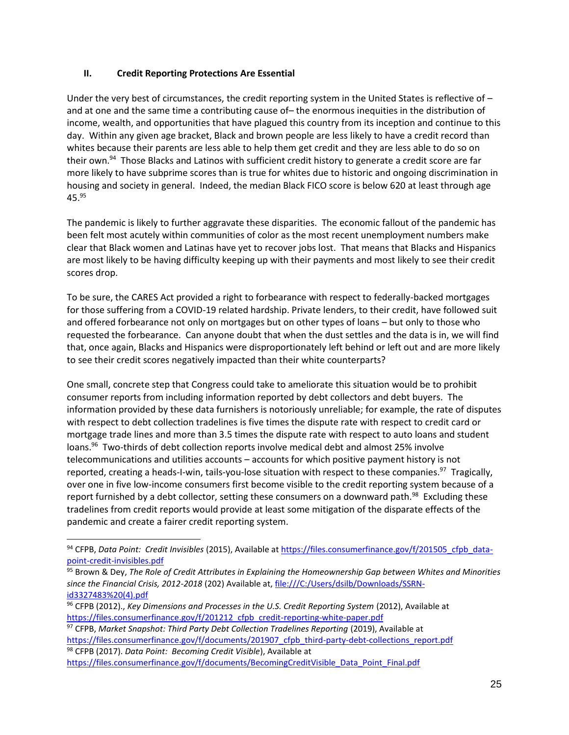#### **II. Credit Reporting Protections Are Essential**

Under the very best of circumstances, the credit reporting system in the United States is reflective of  $$ and at one and the same time a contributing cause of– the enormous inequities in the distribution of income, wealth, and opportunities that have plagued this country from its inception and continue to this day. Within any given age bracket, Black and brown people are less likely to have a credit record than whites because their parents are less able to help them get credit and they are less able to do so on their own.<sup>94</sup> Those Blacks and Latinos with sufficient credit history to generate a credit score are far more likely to have subprime scores than is true for whites due to historic and ongoing discrimination in housing and society in general. Indeed, the median Black FICO score is below 620 at least through age 45.<sup>95</sup>

The pandemic is likely to further aggravate these disparities. The economic fallout of the pandemic has been felt most acutely within communities of color as the most recent unemployment numbers make clear that Black women and Latinas have yet to recover jobs lost. That means that Blacks and Hispanics are most likely to be having difficulty keeping up with their payments and most likely to see their credit scores drop.

To be sure, the CARES Act provided a right to forbearance with respect to federally-backed mortgages for those suffering from a COVID-19 related hardship. Private lenders, to their credit, have followed suit and offered forbearance not only on mortgages but on other types of loans – but only to those who requested the forbearance. Can anyone doubt that when the dust settles and the data is in, we will find that, once again, Blacks and Hispanics were disproportionately left behind or left out and are more likely to see their credit scores negatively impacted than their white counterparts?

One small, concrete step that Congress could take to ameliorate this situation would be to prohibit consumer reports from including information reported by debt collectors and debt buyers. The information provided by these data furnishers is notoriously unreliable; for example, the rate of disputes with respect to debt collection tradelines is five times the dispute rate with respect to credit card or mortgage trade lines and more than 3.5 times the dispute rate with respect to auto loans and student loans.<sup>96</sup> Two-thirds of debt collection reports involve medical debt and almost 25% involve telecommunications and utilities accounts – accounts for which positive payment history is not reported, creating a heads-I-win, tails-you-lose situation with respect to these companies.<sup>97</sup> Tragically, over one in five low-income consumers first become visible to the credit reporting system because of a report furnished by a debt collector, setting these consumers on a downward path.<sup>98</sup> Excluding these tradelines from credit reports would provide at least some mitigation of the disparate effects of the pandemic and create a fairer credit reporting system.

<sup>94</sup> CFPB, Data Point: Credit Invisibles (2015), Available a[t https://files.consumerfinance.gov/f/201505\\_cfpb\\_data](https://files.consumerfinance.gov/f/201505_cfpb_data-point-credit-invisibles.pdf)[point-credit-invisibles.pdf](https://files.consumerfinance.gov/f/201505_cfpb_data-point-credit-invisibles.pdf)

<sup>95</sup> Brown & Dey, *The Role of Credit Attributes in Explaining the Homeownership Gap between Whites and Minorities since the Financial Crisis, 2012-2018* (202) Available at, [file:///C:/Users/dsilb/Downloads/SSRN](about:blank)[id3327483%20\(4\).pdf](about:blank)

<sup>&</sup>lt;sup>96</sup> CFPB (2012)., *Key Dimensions and Processes in the U.S. Credit Reporting System (2012)*, Available at [https://files.consumerfinance.gov/f/201212\\_cfpb\\_credit-reporting-white-paper.pdf](https://files.consumerfinance.gov/f/201212_cfpb_credit-reporting-white-paper.pdf)

<sup>&</sup>lt;sup>97</sup> CFPB, Market Snapshot: Third Party Debt Collection Tradelines Reporting (2019), Available at [https://files.consumerfinance.gov/f/documents/201907\\_cfpb\\_third-party-debt-collections\\_report.pdf](https://files.consumerfinance.gov/f/documents/201907_cfpb_third-party-debt-collections_report.pdf) <sup>98</sup> CFPB (2017). *Data Point: Becoming Credit Visible*), Available at

[https://files.consumerfinance.gov/f/documents/BecomingCreditVisible\\_Data\\_Point\\_Final.pdf](https://files.consumerfinance.gov/f/documents/BecomingCreditVisible_Data_Point_Final.pdf)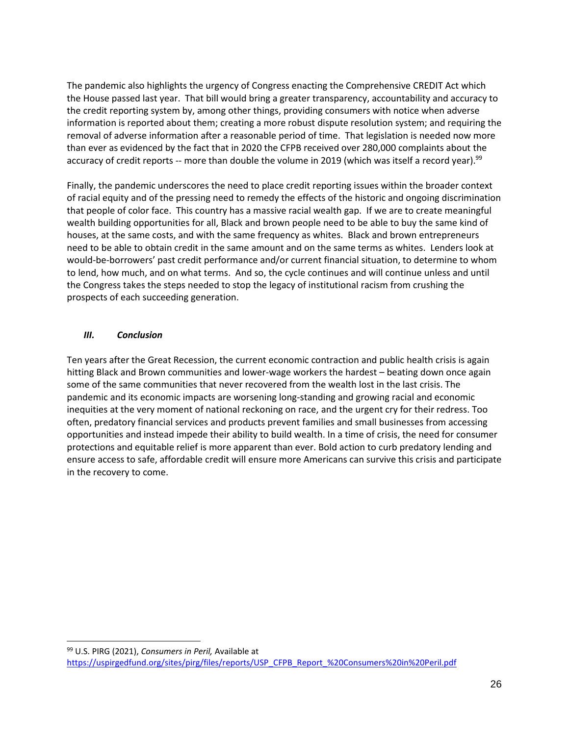The pandemic also highlights the urgency of Congress enacting the Comprehensive CREDIT Act which the House passed last year. That bill would bring a greater transparency, accountability and accuracy to the credit reporting system by, among other things, providing consumers with notice when adverse information is reported about them; creating a more robust dispute resolution system; and requiring the removal of adverse information after a reasonable period of time. That legislation is needed now more than ever as evidenced by the fact that in 2020 the CFPB received over 280,000 complaints about the accuracy of credit reports -- more than double the volume in 2019 (which was itself a record year).<sup>99</sup>

Finally, the pandemic underscores the need to place credit reporting issues within the broader context of racial equity and of the pressing need to remedy the effects of the historic and ongoing discrimination that people of color face. This country has a massive racial wealth gap. If we are to create meaningful wealth building opportunities for all, Black and brown people need to be able to buy the same kind of houses, at the same costs, and with the same frequency as whites. Black and brown entrepreneurs need to be able to obtain credit in the same amount and on the same terms as whites. Lenders look at would-be-borrowers' past credit performance and/or current financial situation, to determine to whom to lend, how much, and on what terms. And so, the cycle continues and will continue unless and until the Congress takes the steps needed to stop the legacy of institutional racism from crushing the prospects of each succeeding generation.

#### *III. Conclusion*

Ten years after the Great Recession, the current economic contraction and public health crisis is again hitting Black and Brown communities and lower-wage workers the hardest – beating down once again some of the same communities that never recovered from the wealth lost in the last crisis. The pandemic and its economic impacts are worsening long-standing and growing racial and economic inequities at the very moment of national reckoning on race, and the urgent cry for their redress. Too often, predatory financial services and products prevent families and small businesses from accessing opportunities and instead impede their ability to build wealth. In a time of crisis, the need for consumer protections and equitable relief is more apparent than ever. Bold action to curb predatory lending and ensure access to safe, affordable credit will ensure more Americans can survive this crisis and participate in the recovery to come.

<sup>99</sup> U.S. PIRG (2021), *Consumers in Peril,* Available at [https://uspirgedfund.org/sites/pirg/files/reports/USP\\_CFPB\\_Report\\_%20Consumers%20in%20Peril.pdf](https://uspirgedfund.org/sites/pirg/files/reports/USP_CFPB_Report_%20Consumers%20in%20Peril.pdf)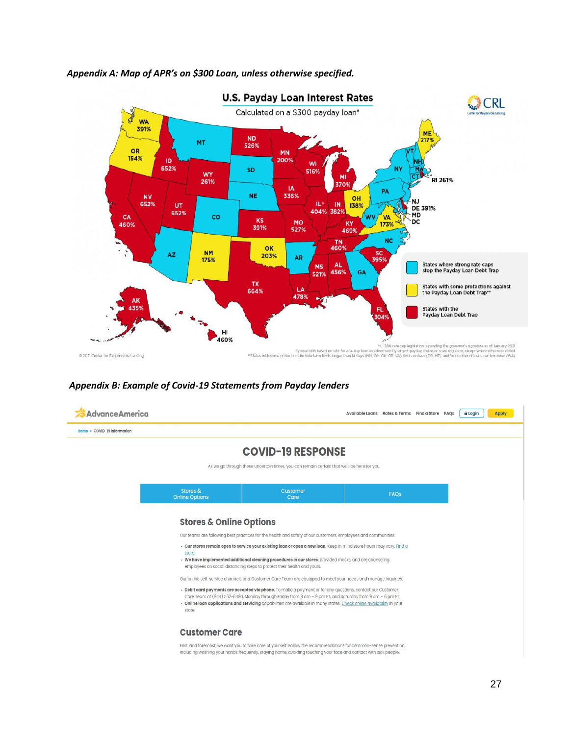

#### *Appendix A: Map of APR's on \$300 Loan, unless otherwise specified.*

#### *Appendix B: Example of Covid-19 Statements from Payday lenders*

| <b>Advance America</b>      |                                    |                                                                                                                                                                                                                                                                                                                                                                                                                                                                   | Available Loans Rates & Terms Find a Store FAQs |      |  | <b>A</b> Login | <b>Apply</b> |
|-----------------------------|------------------------------------|-------------------------------------------------------------------------------------------------------------------------------------------------------------------------------------------------------------------------------------------------------------------------------------------------------------------------------------------------------------------------------------------------------------------------------------------------------------------|-------------------------------------------------|------|--|----------------|--------------|
| Home > COVID-19 Information |                                    |                                                                                                                                                                                                                                                                                                                                                                                                                                                                   |                                                 |      |  |                |              |
|                             |                                    | <b>COVID-19 RESPONSE</b><br>As we go through these uncertain times, you can remain certain that we'll be here for you.                                                                                                                                                                                                                                                                                                                                            |                                                 |      |  |                |              |
|                             | Stores &<br><b>Online Options</b>  | Customer<br>Care                                                                                                                                                                                                                                                                                                                                                                                                                                                  |                                                 | FAQs |  |                |              |
|                             | <b>Stores &amp; Online Options</b> | Our teams are following best practices for the health and safety of our customers, employees and communities.<br>. Our stores remain open to service your existing loan or open a new loan. Keep in mind store hours may vary. Find a                                                                                                                                                                                                                             |                                                 |      |  |                |              |
|                             | store.                             | . We have implemented additional cleaning procedures in our stores, provided masks, and are counseling<br>employees on social distancing steps to protect their health and yours.                                                                                                                                                                                                                                                                                 |                                                 |      |  |                |              |
|                             | state.                             | Our online self-service channels and Customer Care Team are equipped to meet your needs and manage inquiries.<br>. Debit card payments are accepted via phone. To make a payment or for any questions, contact our Customer<br>Care Team at (844) 562-6480, Monday through Friday from 8 am - 9 pm ET, and Saturday from 9 am - 6 pm ET.<br>. Online loan applications and servicing capabilities are available in many states. Check online availability in your |                                                 |      |  |                |              |
|                             | <b>Customer Care</b>               |                                                                                                                                                                                                                                                                                                                                                                                                                                                                   |                                                 |      |  |                |              |
|                             |                                    | First, and foremost, we want you to take care of yourself. Follow the recommendations for common-sense prevention,<br>including washing your hands frequently, staying home, avoiding touching your face and contact with sick people.                                                                                                                                                                                                                            |                                                 |      |  |                |              |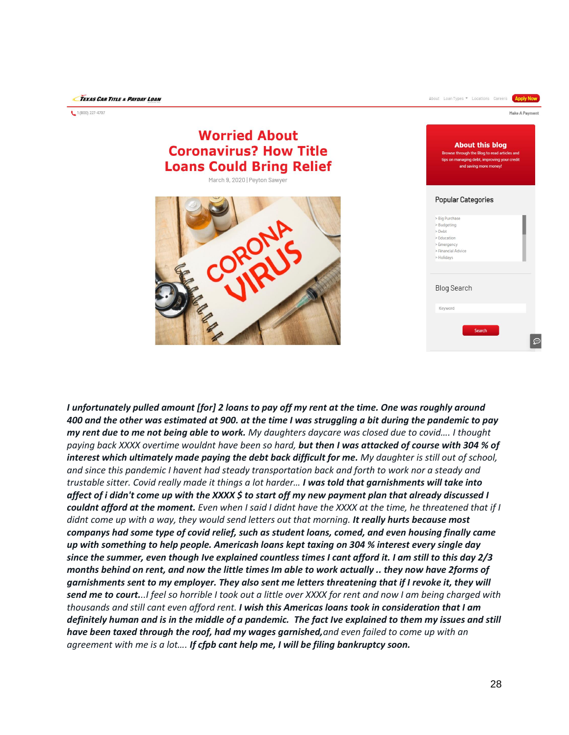$(800)$  227-4707

| anv                                                                                                                       | About Loan Types " Locations Careers<br><b>Apply Now</b>                                                                                                           |
|---------------------------------------------------------------------------------------------------------------------------|--------------------------------------------------------------------------------------------------------------------------------------------------------------------|
| <b>Worried About</b><br><b>Coronavirus? How Title</b><br><b>Loans Could Bring Relief</b><br>March 9, 2020   Peyton Sawyer | Make A Payment<br><b>About this blog</b><br>Browse through the Blog to read articles and<br>tips on managing debt, improving your credit<br>and saving more money! |
|                                                                                                                           | <b>Popular Categories</b><br>> Big Purchase<br>> Budgeting<br>> Debt<br>> Education<br>> Emergency<br>> Financial Advice<br>> Holidays                             |
|                                                                                                                           | <b>Blog Search</b><br>Keyword<br>Search<br>$\textcircled{\scriptsize{1}}$                                                                                          |

*I unfortunately pulled amount [for] 2 loans to pay off my rent at the time. One was roughly around 400 and the other was estimated at 900. at the time I was struggling a bit during the pandemic to pay my rent due to me not being able to work. My daughters daycare was closed due to covid…. I thought paying back XXXX overtime wouldnt have been so hard, but then I was attacked of course with 304 % of interest which ultimately made paying the debt back difficult for me. My daughter is still out of school, and since this pandemic I havent had steady transportation back and forth to work nor a steady and trustable sitter. Covid really made it things a lot harder… I was told that garnishments will take into affect of i didn't come up with the XXXX \$ to start off my new payment plan that already discussed I couldnt afford at the moment. Even when I said I didnt have the XXXX at the time, he threatened that if I didnt come up with a way, they would send letters out that morning. It really hurts because most companys had some type of covid relief, such as student loans, comed, and even housing finally came up with something to help people. Americash loans kept taxing on 304 % interest every single day since the summer, even though Ive explained countless times I cant afford it. I am still to this day 2/3 months behind on rent, and now the little times Im able to work actually .. they now have 2forms of garnishments sent to my employer. They also sent me letters threatening that if I revoke it, they will send me to court...I feel so horrible I took out a little over XXXX for rent and now I am being charged with thousands and still cant even afford rent. I wish this Americas loans took in consideration that I am definitely human and is in the middle of a pandemic. The fact Ive explained to them my issues and still have been taxed through the roof, had my wages garnished,and even failed to come up with an agreement with me is a lot…. If cfpb cant help me, I will be filing bankruptcy soon.*